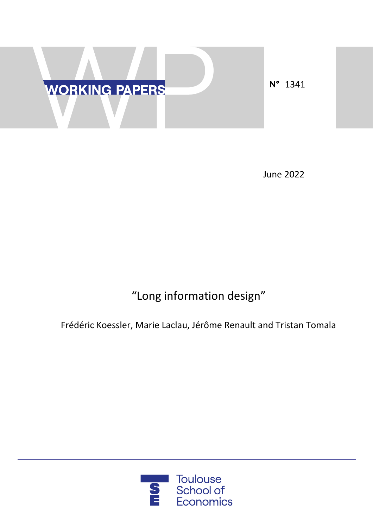

June 2022

# "Long information design"

Frédéric Koessler, Marie Laclau, Jérôme Renault and Tristan Tomala

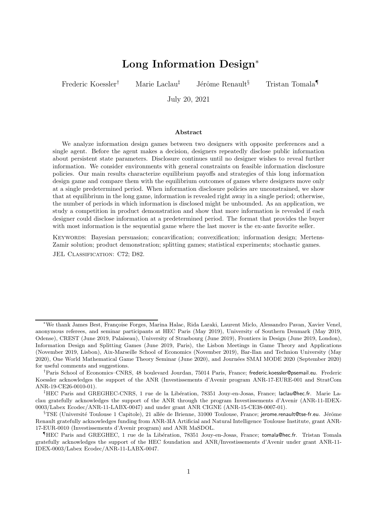# Long Information Design<sup>∗</sup>

Frederic Koessler<sup>†</sup> Marie Laclau<sup>‡</sup> Jérôme Renault<sup>§</sup> Tristan Tomala

July 20, 2021

#### Abstract

We analyze information design games between two designers with opposite preferences and a single agent. Before the agent makes a decision, designers repeatedly disclose public information about persistent state parameters. Disclosure continues until no designer wishes to reveal further information. We consider environments with general constraints on feasible information disclosure policies. Our main results characterize equilibrium payoffs and strategies of this long information design game and compare them with the equilibrium outcomes of games where designers move only at a single predetermined period. When information disclosure policies are unconstrained, we show that at equilibrium in the long game, information is revealed right away in a single period; otherwise, the number of periods in which information is disclosed might be unbounded. As an application, we study a competition in product demonstration and show that more information is revealed if each designer could disclose information at a predetermined period. The format that provides the buyer with most information is the sequential game where the last mover is the ex-ante favorite seller.

KEYWORDS: Bayesian persuasion; concavification; convexification; information design; Mertens-Zamir solution; product demonstration; splitting games; statistical experiments; stochastic games. JEL CLASSIFICATION: C72; D82.

<sup>∗</sup>We thank James Best, Fran¸coise Forges, Marina Halac, Rida Laraki, Laurent Miclo, Alessandro Pavan, Xavier Venel, anonymous referees, and seminar participants at HEC Paris (May 2019), University of Southern Denmark (May 2019, Odense), CREST (June 2019, Palaiseau), University of Strasbourg (June 2019), Frontiers in Design (June 2019, London), Information Design and Splitting Games (June 2019, Paris), the Lisbon Meetings in Game Theory and Applications (November 2019, Lisbon), Aix-Marseille School of Economics (November 2019), Bar-Ilan and Technion University (May 2020), One World Mathematical Game Theory Seminar (June 2020), and Journ´ees SMAI MODE 2020 (September 2020) for useful comments and suggestions.

<sup>†</sup>Paris School of Economics–CNRS, 48 boulevard Jourdan, 75014 Paris, France; frederic.koessler@psemail.eu. Frederic Koessler acknowledges the support of the ANR (Investissements d'Avenir program ANR-17-EURE-001 and StratCom ANR-19-CE26-0010-01).

<sup>&</sup>lt;sup>‡</sup>HEC Paris and GREGHEC-CNRS, 1 rue de la Libération, 78351 Jouy-en-Josas, France; laclau@hec.fr. Marie Laclau gratefully acknowledges the support of the ANR through the program Investissements d'Avenir (ANR-11-IDEX-0003/Labex Ecodec/ANR-11-LABX-0047) and under grant ANR CIGNE (ANR-15-CE38-0007-01).

 $\S$ TSE (Université Toulouse 1 Capitole), 21 allée de Brienne, 31000 Toulouse, France; jerome.renault@tse-fr.eu. Jérôme Renault gratefully acknowledges funding from ANR-3IA Artificial and Natural Intelligence Toulouse Institute, grant ANR-17-EUR-0010 (Investissements d'Avenir program) and ANR MaSDOL.

<sup>&</sup>lt;sup>¶</sup>HEC Paris and GREGHEC, 1 rue de la Libération, 78351 Jouy-en-Josas, France; tomala@hec.fr. Tristan Tomala gratefully acknowledges the support of the HEC foundation and ANR/Investissements d'Avenir under grant ANR-11- IDEX-0003/Labex Ecodec/ANR-11-LABX-0047.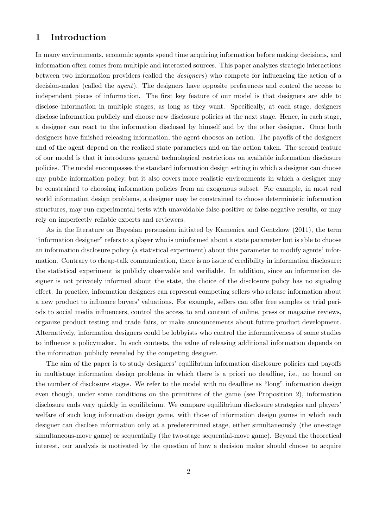# 1 Introduction

In many environments, economic agents spend time acquiring information before making decisions, and information often comes from multiple and interested sources. This paper analyzes strategic interactions between two information providers (called the *designers*) who compete for influencing the action of a decision-maker (called the *agent*). The designers have opposite preferences and control the access to independent pieces of information. The first key feature of our model is that designers are able to disclose information in multiple stages, as long as they want. Specifically, at each stage, designers disclose information publicly and choose new disclosure policies at the next stage. Hence, in each stage, a designer can react to the information disclosed by himself and by the other designer. Once both designers have finished releasing information, the agent chooses an action. The payoffs of the designers and of the agent depend on the realized state parameters and on the action taken. The second feature of our model is that it introduces general technological restrictions on available information disclosure policies. The model encompasses the standard information design setting in which a designer can choose any public information policy, but it also covers more realistic environments in which a designer may be constrained to choosing information policies from an exogenous subset. For example, in most real world information design problems, a designer may be constrained to choose deterministic information structures, may run experimental tests with unavoidable false-positive or false-negative results, or may rely on imperfectly reliable experts and reviewers.

As in the literature on Bayesian persuasion initiated by Kamenica and Gentzkow (2011), the term "information designer" refers to a player who is uninformed about a state parameter but is able to choose an information disclosure policy (a statistical experiment) about this parameter to modify agents' information. Contrary to cheap-talk communication, there is no issue of credibility in information disclosure: the statistical experiment is publicly observable and verifiable. In addition, since an information designer is not privately informed about the state, the choice of the disclosure policy has no signaling effect. In practice, information designers can represent competing sellers who release information about a new product to influence buyers' valuations. For example, sellers can offer free samples or trial periods to social media influencers, control the access to and content of online, press or magazine reviews, organize product testing and trade fairs, or make announcements about future product development. Alternatively, information designers could be lobbyists who control the informativeness of some studies to influence a policymaker. In such contests, the value of releasing additional information depends on the information publicly revealed by the competing designer.

The aim of the paper is to study designers' equilibrium information disclosure policies and payoffs in multistage information design problems in which there is a priori no deadline, i.e., no bound on the number of disclosure stages. We refer to the model with no deadline as "long" information design even though, under some conditions on the primitives of the game (see Proposition 2), information disclosure ends very quickly in equilibrium. We compare equilibrium disclosure strategies and players' welfare of such long information design game, with those of information design games in which each designer can disclose information only at a predetermined stage, either simultaneously (the one-stage simultaneous-move game) or sequentially (the two-stage sequential-move game). Beyond the theoretical interest, our analysis is motivated by the question of how a decision maker should choose to acquire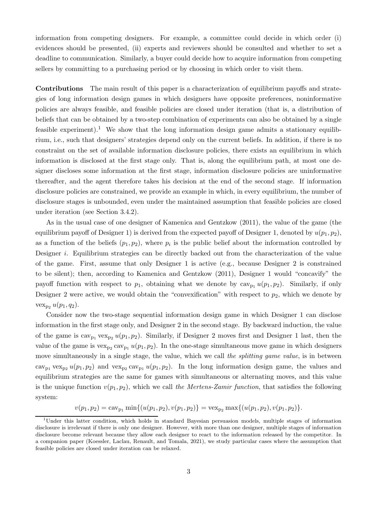information from competing designers. For example, a committee could decide in which order (i) evidences should be presented, (ii) experts and reviewers should be consulted and whether to set a deadline to communication. Similarly, a buyer could decide how to acquire information from competing sellers by committing to a purchasing period or by choosing in which order to visit them.

Contributions The main result of this paper is a characterization of equilibrium payoffs and strategies of long information design games in which designers have opposite preferences, noninformative policies are always feasible, and feasible policies are closed under iteration (that is, a distribution of beliefs that can be obtained by a two-step combination of experiments can also be obtained by a single feasible experiment).<sup>1</sup> We show that the long information design game admits a stationary equilibrium, i.e., such that designers' strategies depend only on the current beliefs. In addition, if there is no constraint on the set of available information disclosure policies, there exists an equilibrium in which information is disclosed at the first stage only. That is, along the equilibrium path, at most one designer discloses some information at the first stage, information disclosure policies are uninformative thereafter, and the agent therefore takes his decision at the end of the second stage. If information disclosure policies are constrained, we provide an example in which, in every equilibrium, the number of disclosure stages is unbounded, even under the maintained assumption that feasible policies are closed under iteration (see Section 3.4.2).

As in the usual case of one designer of Kamenica and Gentzkow (2011), the value of the game (the equilibrium payoff of Designer 1) is derived from the expected payoff of Designer 1, denoted by  $u(p_1, p_2)$ , as a function of the beliefs  $(p_1, p_2)$ , where  $p_i$  is the public belief about the information controlled by Designer *i*. Equilibrium strategies can be directly backed out from the characterization of the value of the game. First, assume that only Designer 1 is active (e.g., because Designer 2 is constrained to be silent); then, according to Kamenica and Gentzkow (2011), Designer 1 would "concavify" the payoff function with respect to  $p_1$ , obtaining what we denote by  $cav_{p_1} u(p_1, p_2)$ . Similarly, if only Designer 2 were active, we would obtain the "convexification" with respect to  $p_2$ , which we denote by  $vex_{p2} u(p_1, q_2).$ 

Consider now the two-stage sequential information design game in which Designer 1 can disclose information in the first stage only, and Designer 2 in the second stage. By backward induction, the value of the game is  $\text{cav}_{p_1} \text{vex}_{p_2} u(p_1, p_2)$ . Similarly, if Designer 2 moves first and Designer 1 last, then the value of the game is  $\text{vex}_{p_2} \text{cav}_{p_1} u(p_1, p_2)$ . In the one-stage simultaneous move game in which designers move simultaneously in a single stage, the value, which we call *the splitting game value*, is in between cav<sub>p1</sub> vex<sub>p2</sub>  $u(p_1, p_2)$  and vex<sub>p2</sub> cav<sub>p<sub>1</sub></sub>  $u(p_1, p_2)$ . In the long information design game, the values and equilibrium strategies are the same for games with simultaneous or alternating moves, and this value is the unique function  $v(p_1, p_2)$ , which we call the Mertens-Zamir function, that satisfies the following system:

$$
v(p_1, p_2) = \operatorname{cav}_{p_1} \min \{ (u(p_1, p_2), v(p_1, p_2) \} = \operatorname{vex}_{p_2} \max \{ (u(p_1, p_2), v(p_1, p_2) \}.
$$

<sup>&</sup>lt;sup>1</sup>Under this latter condition, which holds in standard Bayesian persuasion models, multiple stages of information disclosure is irrelevant if there is only one designer. However, with more than one designer, multiple stages of information disclosure become relevant because they allow each designer to react to the information released by the competitor. In a companion paper (Koessler, Laclau, Renault, and Tomala, 2021), we study particular cases where the assumption that feasible policies are closed under iteration can be relaxed.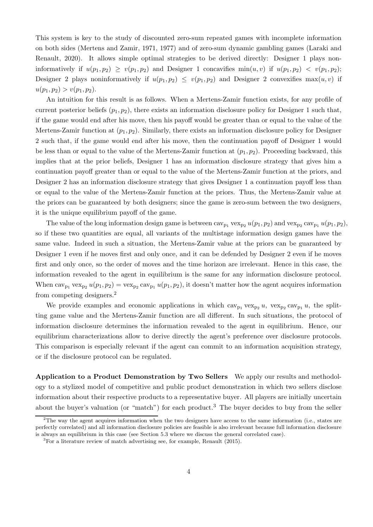This system is key to the study of discounted zero-sum repeated games with incomplete information on both sides (Mertens and Zamir, 1971, 1977) and of zero-sum dynamic gambling games (Laraki and Renault, 2020). It allows simple optimal strategies to be derived directly: Designer 1 plays noninformatively if  $u(p_1, p_2) \ge v(p_1, p_2)$  and Designer 1 concavifies  $\min(u, v)$  if  $u(p_1, p_2) < v(p_1, p_2)$ ; Designer 2 plays noninformatively if  $u(p_1, p_2) \le v(p_1, p_2)$  and Designer 2 convexifies max $(u, v)$  if  $u(p_1, p_2) > v(p_1, p_2).$ 

An intuition for this result is as follows. When a Mertens-Zamir function exists, for any profile of current posterior beliefs  $(p_1, p_2)$ , there exists an information disclosure policy for Designer 1 such that, if the game would end after his move, then his payoff would be greater than or equal to the value of the Mertens-Zamir function at  $(p_1, p_2)$ . Similarly, there exists an information disclosure policy for Designer 2 such that, if the game would end after his move, then the continuation payoff of Designer 1 would be less than or equal to the value of the Mertens-Zamir function at  $(p_1, p_2)$ . Proceeding backward, this implies that at the prior beliefs, Designer 1 has an information disclosure strategy that gives him a continuation payoff greater than or equal to the value of the Mertens-Zamir function at the priors, and Designer 2 has an information disclosure strategy that gives Designer 1 a continuation payoff less than or equal to the value of the Mertens-Zamir function at the priors. Thus, the Mertens-Zamir value at the priors can be guaranteed by both designers; since the game is zero-sum between the two designers, it is the unique equilibrium payoff of the game.

The value of the long information design game is between  $cav_{p_1} vex_{p_2} u(p_1, p_2)$  and  $vex_{p_2} cav_{p_1} u(p_1, p_2)$ , so if these two quantities are equal, all variants of the multistage information design games have the same value. Indeed in such a situation, the Mertens-Zamir value at the priors can be guaranteed by Designer 1 even if he moves first and only once, and it can be defended by Designer 2 even if he moves first and only once, so the order of moves and the time horizon are irrelevant. Hence in this case, the information revealed to the agent in equilibrium is the same for any information disclosure protocol. When  $\text{cav}_{p_1} \text{vex}_{p_2} u(p_1, p_2) = \text{vex}_{p_2} \text{cav}_{p_1} u(p_1, p_2)$ , it doesn't matter how the agent acquires information from competing designers.<sup>2</sup>

We provide examples and economic applications in which  $cav_{p_1} vex_{p_2} u$ ,  $vex_{p_2} cav_{p_1} u$ , the splitting game value and the Mertens-Zamir function are all different. In such situations, the protocol of information disclosure determines the information revealed to the agent in equilibrium. Hence, our equilibrium characterizations allow to derive directly the agent's preference over disclosure protocols. This comparison is especially relevant if the agent can commit to an information acquisition strategy, or if the disclosure protocol can be regulated.

Application to a Product Demonstration by Two Sellers We apply our results and methodology to a stylized model of competitive and public product demonstration in which two sellers disclose information about their respective products to a representative buyer. All players are initially uncertain about the buyer's valuation (or "match") for each product.<sup>3</sup> The buyer decides to buy from the seller

 $2$ The way the agent acquires information when the two designers have access to the same information (i.e., states are perfectly correlated) and all information disclosure policies are feasible is also irrelevant because full information disclosure is always an equilibrium in this case (see Section 5.3 where we discuss the general correlated case).

<sup>3</sup>For a literature review of match advertising see, for example, Renault (2015).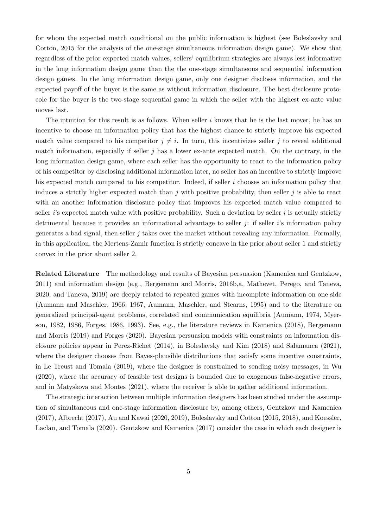for whom the expected match conditional on the public information is highest (see Boleslavsky and Cotton, 2015 for the analysis of the one-stage simultaneous information design game). We show that regardless of the prior expected match values, sellers' equilibrium strategies are always less informative in the long information design game than the the one-stage simultaneous and sequential information design games. In the long information design game, only one designer discloses information, and the expected payoff of the buyer is the same as without information disclosure. The best disclosure protocole for the buyer is the two-stage sequential game in which the seller with the highest ex-ante value moves last.

The intuition for this result is as follows. When seller  $i$  knows that he is the last mover, he has an incentive to choose an information policy that has the highest chance to strictly improve his expected match value compared to his competitor  $j \neq i$ . In turn, this incentivizes seller j to reveal additional match information, especially if seller  $j$  has a lower ex-ante expected match. On the contrary, in the long information design game, where each seller has the opportunity to react to the information policy of his competitor by disclosing additional information later, no seller has an incentive to strictly improve his expected match compared to his competitor. Indeed, if seller i chooses an information policy that induces a strictly higher expected match than  $j$  with positive probability, then seller  $j$  is able to react with an another information disclosure policy that improves his expected match value compared to seller  $i$ 's expected match value with positive probability. Such a deviation by seller  $i$  is actually strictly detrimental because it provides an informational advantage to seller  $j$ : if seller  $i$ 's information policy generates a bad signal, then seller  $j$  takes over the market without revealing any information. Formally, in this application, the Mertens-Zamir function is strictly concave in the prior about seller 1 and strictly convex in the prior about seller 2.

Related Literature The methodology and results of Bayesian persuasion (Kamenica and Gentzkow, 2011) and information design (e.g., Bergemann and Morris, 2016b,a, Mathevet, Perego, and Taneva, 2020, and Taneva, 2019) are deeply related to repeated games with incomplete information on one side (Aumann and Maschler, 1966, 1967, Aumann, Maschler, and Stearns, 1995) and to the literature on generalized principal-agent problems, correlated and communication equilibria (Aumann, 1974, Myerson, 1982, 1986, Forges, 1986, 1993). See, e.g., the literature reviews in Kamenica (2018), Bergemann and Morris (2019) and Forges (2020). Bayesian persuasion models with constraints on information disclosure policies appear in Perez-Richet (2014), in Boleslavsky and Kim (2018) and Salamanca (2021), where the designer chooses from Bayes-plausible distributions that satisfy some incentive constraints, in Le Treust and Tomala (2019), where the designer is constrained to sending noisy messages, in Wu (2020), where the accuracy of feasible test designs is bounded due to exogenous false-negative errors, and in Matyskova and Montes (2021), where the receiver is able to gather additional information.

The strategic interaction between multiple information designers has been studied under the assumption of simultaneous and one-stage information disclosure by, among others, Gentzkow and Kamenica (2017), Albrecht (2017), Au and Kawai (2020, 2019), Boleslavsky and Cotton (2015, 2018), and Koessler, Laclau, and Tomala (2020). Gentzkow and Kamenica (2017) consider the case in which each designer is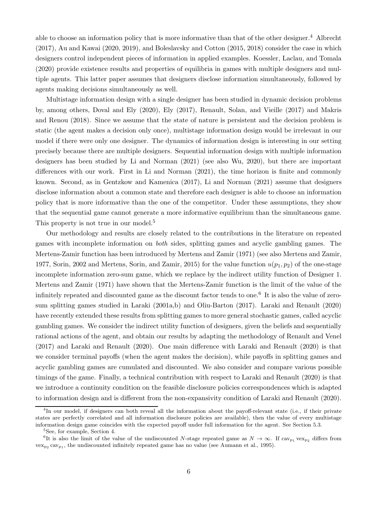able to choose an information policy that is more informative than that of the other designer.<sup>4</sup> Albrecht (2017), Au and Kawai (2020, 2019), and Boleslavsky and Cotton (2015, 2018) consider the case in which designers control independent pieces of information in applied examples. Koessler, Laclau, and Tomala (2020) provide existence results and properties of equilibria in games with multiple designers and multiple agents. This latter paper assumes that designers disclose information simultaneously, followed by agents making decisions simultaneously as well.

Multistage information design with a single designer has been studied in dynamic decision problems by, among others, Doval and Ely (2020), Ely (2017), Renault, Solan, and Vieille (2017) and Makris and Renou (2018). Since we assume that the state of nature is persistent and the decision problem is static (the agent makes a decision only once), multistage information design would be irrelevant in our model if there were only one designer. The dynamics of information design is interesting in our setting precisely because there are multiple designers. Sequential information design with multiple information designers has been studied by Li and Norman (2021) (see also Wu, 2020), but there are important differences with our work. First in Li and Norman (2021), the time horizon is finite and commonly known. Second, as in Gentzkow and Kamenica (2017), Li and Norman (2021) assume that designers disclose information about a common state and therefore each designer is able to choose an information policy that is more informative than the one of the competitor. Under these assumptions, they show that the sequential game cannot generate a more informative equilibrium than the simultaneous game. This property is not true in our model.<sup>5</sup>

Our methodology and results are closely related to the contributions in the literature on repeated games with incomplete information on *both* sides, splitting games and acyclic gambling games. The Mertens-Zamir function has been introduced by Mertens and Zamir (1971) (see also Mertens and Zamir, 1977, Sorin, 2002 and Mertens, Sorin, and Zamir, 2015) for the value function  $u(p_1, p_2)$  of the one-stage incomplete information zero-sum game, which we replace by the indirect utility function of Designer 1. Mertens and Zamir (1971) have shown that the Mertens-Zamir function is the limit of the value of the infinitely repeated and discounted game as the discount factor tends to one.<sup>6</sup> It is also the value of zerosum splitting games studied in Laraki (2001a,b) and Oliu-Barton (2017). Laraki and Renault (2020) have recently extended these results from splitting games to more general stochastic games, called acyclic gambling games. We consider the indirect utility function of designers, given the beliefs and sequentially rational actions of the agent, and obtain our results by adapting the methodology of Renault and Venel (2017) and Laraki and Renault (2020). One main difference with Laraki and Renault (2020) is that we consider terminal payoffs (when the agent makes the decision), while payoffs in splitting games and acyclic gambling games are cumulated and discounted. We also consider and compare various possible timings of the game. Finally, a technical contribution with respect to Laraki and Renault (2020) is that we introduce a continuity condition on the feasible disclosure policies correspondences which is adapted to information design and is different from the non-expansivity condition of Laraki and Renault (2020).

<sup>&</sup>lt;sup>4</sup>In our model, if designers can both reveal all the information about the payoff-relevant state (i.e., if their private states are perfectly correlated and all information disclosure policies are available), then the value of every multistage information design game coincides with the expected payoff under full information for the agent. See Section 5.3.

<sup>&</sup>lt;sup>5</sup>See, for example, Section 4.

<sup>&</sup>lt;sup>6</sup>It is also the limit of the value of the undiscounted N-stage repeated game as  $N \to \infty$ . If cav<sub>p<sub>1</sub></sub> vex<sub>p<sub>2</sub></sub> differs from  $\text{vex}_{p_2} \text{cav}_{p_1}$ , the undiscounted infinitely repeated game has no value (see Aumann et al., 1995).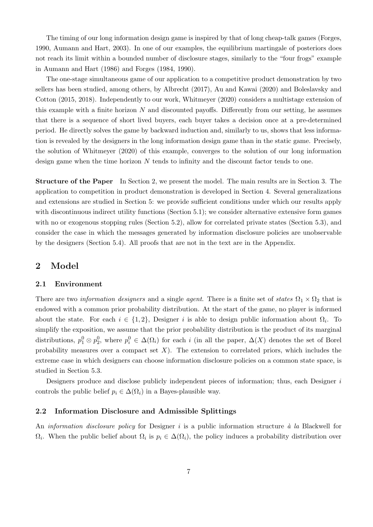The timing of our long information design game is inspired by that of long cheap-talk games (Forges, 1990, Aumann and Hart, 2003). In one of our examples, the equilibrium martingale of posteriors does not reach its limit within a bounded number of disclosure stages, similarly to the "four frogs" example in Aumann and Hart (1986) and Forges (1984, 1990).

The one-stage simultaneous game of our application to a competitive product demonstration by two sellers has been studied, among others, by Albrecht (2017), Au and Kawai (2020) and Boleslavsky and Cotton (2015, 2018). Independently to our work, Whitmeyer (2020) considers a multistage extension of this example with a finite horizon  $N$  and discounted payoffs. Differently from our setting, he assumes that there is a sequence of short lived buyers, each buyer takes a decision once at a pre-determined period. He directly solves the game by backward induction and, similarly to us, shows that less information is revealed by the designers in the long information design game than in the static game. Precisely, the solution of Whitmeyer (2020) of this example, converges to the solution of our long information design game when the time horizon N tends to infinity and the discount factor tends to one.

Structure of the Paper In Section 2, we present the model. The main results are in Section 3. The application to competition in product demonstration is developed in Section 4. Several generalizations and extensions are studied in Section 5: we provide sufficient conditions under which our results apply with discontinuous indirect utility functions (Section 5.1); we consider alternative extensive form games with no or exogenous stopping rules (Section 5.2), allow for correlated private states (Section 5.3), and consider the case in which the messages generated by information disclosure policies are unobservable by the designers (Section 5.4). All proofs that are not in the text are in the Appendix.

# 2 Model

#### 2.1 Environment

There are two *information designers* and a single *agent*. There is a finite set of *states*  $\Omega_1 \times \Omega_2$  that is endowed with a common prior probability distribution. At the start of the game, no player is informed about the state. For each  $i \in \{1,2\}$ , Designer i is able to design public information about  $\Omega_i$ . To simplify the exposition, we assume that the prior probability distribution is the product of its marginal distributions,  $p_1^0 \otimes p_2^0$ , where  $p_i^0 \in \Delta(\Omega_i)$  for each i (in all the paper,  $\Delta(X)$  denotes the set of Borel probability measures over a compact set  $X$ ). The extension to correlated priors, which includes the extreme case in which designers can choose information disclosure policies on a common state space, is studied in Section 5.3.

Designers produce and disclose publicly independent pieces of information; thus, each Designer  $i$ controls the public belief  $p_i \in \Delta(\Omega_i)$  in a Bayes-plausible way.

#### 2.2 Information Disclosure and Admissible Splittings

An *information disclosure policy* for Designer *i* is a public information structure *à la* Blackwell for  $\Omega_i$ . When the public belief about  $\Omega_i$  is  $p_i \in \Delta(\Omega_i)$ , the policy induces a probability distribution over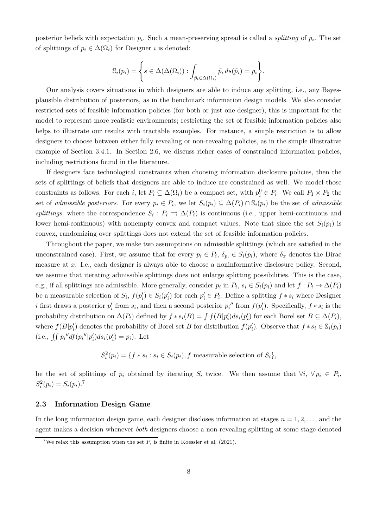posterior beliefs with expectation  $p_i$ . Such a mean-preserving spread is called a *splitting* of  $p_i$ . The set of splittings of  $p_i \in \Delta(\Omega_i)$  for Designer *i* is denoted:

$$
\mathbb{S}_{i}(p_{i}) = \left\{ s \in \Delta(\Delta(\Omega_{i})) : \int_{\tilde{p}_{i} \in \Delta(\Omega_{i})} \tilde{p}_{i} ds(\tilde{p}_{i}) = p_{i} \right\}.
$$

Our analysis covers situations in which designers are able to induce any splitting, i.e., any Bayesplausible distribution of posteriors, as in the benchmark information design models. We also consider restricted sets of feasible information policies (for both or just one designer), this is important for the model to represent more realistic environments; restricting the set of feasible information policies also helps to illustrate our results with tractable examples. For instance, a simple restriction is to allow designers to choose between either fully revealing or non-revealing policies, as in the simple illustrative example of Section 3.4.1. In Section 2.6, we discuss richer cases of constrained information policies, including restrictions found in the literature.

If designers face technological constraints when choosing information disclosure policies, then the sets of splittings of beliefs that designers are able to induce are constrained as well. We model those constraints as follows. For each i, let  $P_i \subseteq \Delta(\Omega_i)$  be a compact set, with  $p_i^0 \in P_i$ . We call  $P_1 \times P_2$  the set of *admissible posteriors*. For every  $p_i \in P_i$ , we let  $S_i(p_i) \subseteq \Delta(P_i) \cap \mathbb{S}_i(p_i)$  be the set of *admissible splittings*, where the correspondence  $S_i$ :  $P_i \rightrightarrows \Delta(P_i)$  is continuous (i.e., upper hemi-continuous and lower hemi-continuous) with nonempty convex and compact values. Note that since the set  $S_i(p_i)$  is convex, randomizing over splittings does not extend the set of feasible information policies.

Throughout the paper, we make two assumptions on admissible splittings (which are satisfied in the unconstrained case). First, we assume that for every  $p_i \in P_i$ ,  $\delta_{p_i} \in S_i(p_i)$ , where  $\delta_x$  denotes the Dirac measure at x. I.e., each designer is always able to choose a noninformative disclosure policy. Second, we assume that iterating admissible splittings does not enlarge splitting possibilities. This is the case, e.g., if all splittings are admissible. More generally, consider  $p_i$  in  $P_i$ ,  $s_i \in S_i(p_i)$  and let  $f: P_i \to \Delta(P_i)$ be a measurable selection of  $S_i$ ,  $f(p'_i) \in S_i(p'_i)$  for each  $p'_i \in P_i$ . Define a splitting  $f * s_i$  where Designer *i* first draws a posterior  $p'_i$  from  $s_i$ , and then a second posterior  $p_i$ <sup>"</sup> from  $f(p'_i)$ . Specifically,  $f * s_i$  is the probability distribution on  $\Delta(P_i)$  defined by  $f * s_i(B) = \int f(B|p'_i)ds_i(p'_i)$  for each Borel set  $B \subseteq \Delta(P_i)$ , where  $f(B|p'_i)$  denotes the probability of Borel set B for distribution  $f(p'_i)$ . Observe that  $f * s_i \in \mathbb{S}_i(p_i)$ (i.e.,  $\iint p_i'' df(p_i''] p_i') ds_i(p_i') = p_i$ ). Let

$$
S_i^2(p_i) = \{ f * s_i : s_i \in S_i(p_i), f \text{ measurable selection of } S_i \},
$$

be the set of splittings of  $p_i$  obtained by iterating  $S_i$  twice. We then assume that  $\forall i, \forall p_i \in P_i$ ,  $S_i^2(p_i) = S_i(p_i).$ <sup>7</sup>

#### 2.3 Information Design Game

In the long information design game, each designer discloses information at stages  $n = 1, 2, \ldots$ , and the agent makes a decision whenever *both* designers choose a non-revealing splitting at some stage denoted

<sup>&</sup>lt;sup>7</sup>We relax this assumption when the set  $P_i$  is finite in Koessler et al. (2021).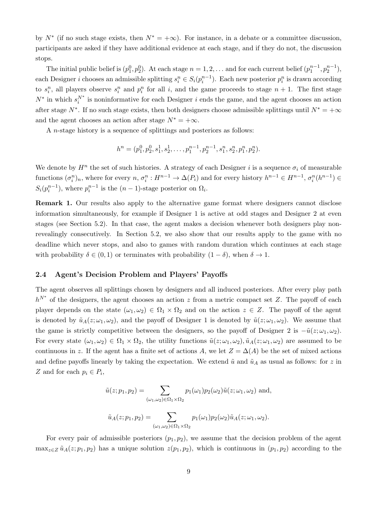by  $N^*$  (if no such stage exists, then  $N^* = +\infty$ ). For instance, in a debate or a committee discussion, participants are asked if they have additional evidence at each stage, and if they do not, the discussion stops.

The initial public belief is  $(p_1^0, p_2^0)$ . At each stage  $n = 1, 2, \ldots$  and for each current belief  $(p_1^{n-1}, p_2^{n-1})$ , each Designer *i* chooses an admissible splitting  $s_i^n \in S_i(p_i^{n-1})$ . Each new posterior  $p_i^n$  is drawn according to  $s_i^n$ , all players observe  $s_i^n$  and  $p_i^n$  for all i, and the game proceeds to stage  $n + 1$ . The first stage  $N^*$  in which  $s_i^{N^*}$  is noninformative for each Designer i ends the game, and the agent chooses an action after stage  $N^*$ . If no such stage exists, then both designers choose admissible splittings until  $N^* = +\infty$ and the agent chooses an action after stage  $N^* = +\infty$ .

A n-stage history is a sequence of splittings and posteriors as follows:

$$
h^{n} = (p_1^{0}, p_2^{0}, s_1^{1}, s_2^{1}, \dots, p_1^{n-1}, p_2^{n-1}, s_1^{n}, s_2^{n}, p_1^{n}, p_2^{n}).
$$

We denote by  $H^n$  the set of such histories. A strategy of each Designer i is a sequence  $\sigma_i$  of measurable functions  $(\sigma_i^n)_n$ , where for every  $n, \sigma_i^n : H^{n-1} \to \Delta(P_i)$  and for every history  $h^{n-1} \in H^{n-1}$ ,  $\sigma_i^n(h^{n-1}) \in$  $S_i(p_i^{n-1})$ , where  $p_i^{n-1}$  is the  $(n-1)$ -stage posterior on  $\Omega_i$ .

Remark 1. Our results also apply to the alternative game format where designers cannot disclose information simultaneously, for example if Designer 1 is active at odd stages and Designer 2 at even stages (see Section 5.2). In that case, the agent makes a decision whenever both designers play nonrevealingly consecutively. In Section 5.2, we also show that our results apply to the game with no deadline which never stops, and also to games with random duration which continues at each stage with probability  $\delta \in (0,1)$  or terminates with probability  $(1-\delta)$ , when  $\delta \to 1$ .

#### 2.4 Agent's Decision Problem and Players' Payoffs

The agent observes all splittings chosen by designers and all induced posteriors. After every play path  $h^{N^*}$  of the designers, the agent chooses an action z from a metric compact set Z. The payoff of each player depends on the state  $(\omega_1, \omega_2) \in \Omega_1 \times \Omega_2$  and on the action  $z \in Z$ . The payoff of the agent is denoted by  $\tilde{u}_A(z; \omega_1, \omega_2)$ , and the payoff of Designer 1 is denoted by  $\tilde{u}(z; \omega_1, \omega_2)$ . We assume that the game is strictly competitive between the designers, so the payoff of Designer 2 is  $-\tilde{u}(z; \omega_1, \omega_2)$ . For every state  $(\omega_1, \omega_2) \in \Omega_1 \times \Omega_2$ , the utility functions  $\tilde{u}(z; \omega_1, \omega_2)$ ,  $\tilde{u}_A(z; \omega_1, \omega_2)$  are assumed to be continuous in z. If the agent has a finite set of actions A, we let  $Z = \Delta(A)$  be the set of mixed actions and define payoffs linearly by taking the expectation. We extend  $\tilde{u}$  and  $\tilde{u}_A$  as usual as follows: for z in Z and for each  $p_i \in P_i$ ,

$$
\tilde{u}(z; p_1, p_2) = \sum_{(\omega_1, \omega_2) \in \Omega_1 \times \Omega_2} p_1(\omega_1) p_2(\omega_2) \tilde{u}(z; \omega_1, \omega_2)
$$
 and,  

$$
\tilde{u}_A(z; p_1, p_2) = \sum_{(\omega_1, \omega_2) \in \Omega_1 \times \Omega_2} p_1(\omega_1) p_2(\omega_2) \tilde{u}_A(z; \omega_1, \omega_2).
$$

For every pair of admissible posteriors  $(p_1, p_2)$ , we assume that the decision problem of the agent  $\max_{z\in\mathbb{Z}} \tilde{u}_A(z; p_1, p_2)$  has a unique solution  $z(p_1, p_2)$ , which is continuous in  $(p_1, p_2)$  according to the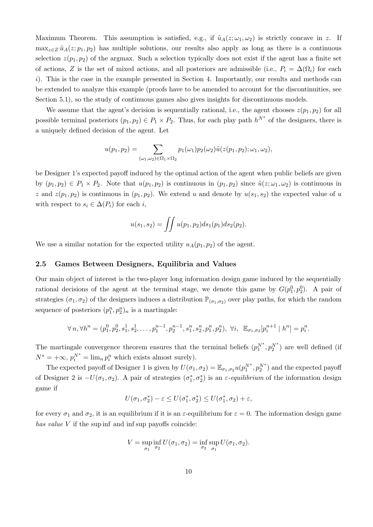Maximum Theorem. This assumption is satisfied, e.g., if  $\tilde{u}_A(z; \omega_1, \omega_2)$  is strictly concave in z. If  $\max_{z\in\mathbb{Z}} \tilde{u}_A(z; p_1, p_2)$  has multiple solutions, our results also apply as long as there is a continuous selection  $z(p_1, p_2)$  of the argmax. Such a selection typically does not exist if the agent has a finite set of actions, Z is the set of mixed actions, and all posteriors are admissible (i.e.,  $P_i = \Delta(\Omega_i)$  for each  $i)$ . This is the case in the example presented in Section 4. Importantly, our results and methods can be extended to analyze this example (proofs have to be amended to account for the discontinuities, see Section 5.1), so the study of continuous games also gives insights for discontinuous models.

We assume that the agent's decision is sequentially rational, i.e., the agent chooses  $z(p_1, p_2)$  for all possible terminal posteriors  $(p_1, p_2) \in P_1 \times P_2$ . Thus, for each play path  $h^{N^*}$  of the designers, there is a uniquely defined decision of the agent. Let

$$
u(p_1, p_2) = \sum_{(\omega_1, \omega_2) \in \Omega_1 \times \Omega_2} p_1(\omega_1) p_2(\omega_2) \tilde{u}(z(p_1, p_2); \omega_1, \omega_2),
$$

be Designer 1's expected payoff induced by the optimal action of the agent when public beliefs are given by  $(p_1, p_2) \in P_1 \times P_2$ . Note that  $u(p_1, p_2)$  is continuous in  $(p_1, p_2)$  since  $\tilde{u}(z; \omega_1, \omega_2)$  is continuous in z and  $z(p_1, p_2)$  is continuous in  $(p_1, p_2)$ . We extend u and denote by  $u(s_1, s_2)$  the expected value of u with respect to  $s_i \in \Delta(P_i)$  for each i,

$$
u(s_1, s_2) = \iint u(p_1, p_2) ds_1(p_1) ds_2(p_2).
$$

We use a similar notation for the expected utility  $u_A(p_1, p_2)$  of the agent.

#### 2.5 Games Between Designers, Equilibria and Values

Our main object of interest is the two-player long information design game induced by the sequentially rational decisions of the agent at the terminal stage, we denote this game by  $G(p_1^0, p_2^0)$ . A pair of strategies  $(\sigma_1, \sigma_2)$  of the designers induces a distribution  $\mathbb{P}_{(\sigma_1,\sigma_2)}$  over play paths, for which the random sequence of posteriors  $(p_1^n, p_2^n)_n$  is a martingale:

$$
\forall n, \forall h^n = (p_1^0, p_2^0, s_1^1, s_2^1, \dots, p_1^{n-1}, p_2^{n-1}, s_1^n, s_2^n, p_1^n, p_2^n), \ \forall i, \ \mathbb{E}_{\sigma_1, \sigma_2}[p_i^{n+1} \mid h^n] = p_i^n.
$$

The martingale convergence theorem ensures that the terminal beliefs  $(p_1^{N^*}, p_2^{N^*})$  are well defined (if  $N^* = +\infty$ ,  $p_i^{N^*} = \lim_n p_i^n$  which exists almost surely).

The expected payoff of Designer 1 is given by  $U(\sigma_1, \sigma_2) = \mathbb{E}_{\sigma_1, \sigma_2} u(p_1^{N^*}, p_2^{N^*})$  and the expected payoff of Designer 2 is  $-U(\sigma_1, \sigma_2)$ . A pair of strategies  $(\sigma_1^*, \sigma_2^*)$  is an  $\varepsilon$ -equilibrium of the information design game if

$$
U(\sigma_1, \sigma_2^*) - \varepsilon \le U(\sigma_1^*, \sigma_2^*) \le U(\sigma_1^*, \sigma_2) + \varepsilon,
$$

for every  $\sigma_1$  and  $\sigma_2$ , it is an equilibrium if it is an  $\varepsilon$ -equilibrium for  $\varepsilon = 0$ . The information design game *has value* V if the sup inf and inf sup payoffs coincide:

$$
V = \sup_{\sigma_1} \inf_{\sigma_2} U(\sigma_1, \sigma_2) = \inf_{\sigma_2} \sup_{\sigma_1} U(\sigma_1, \sigma_2).
$$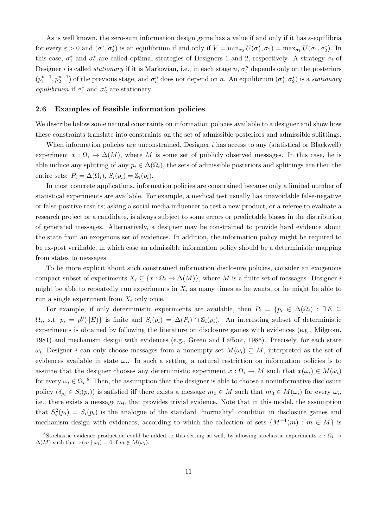As is well known, the zero-sum information design game has a value if and only if it has  $\varepsilon$ -equilibria for every  $\varepsilon > 0$  and  $(\sigma_1^*, \sigma_2^*)$  is an equilibrium if and only if  $V = \min_{\sigma_2} U(\sigma_1^*, \sigma_2) = \max_{\sigma_1} U(\sigma_1, \sigma_2^*)$ . In this case,  $\sigma_1^*$  and  $\sigma_2^*$  are called optimal strategies of Designers 1 and 2, respectively. A strategy  $\sigma_i$  of Designer *i* is called *stationary* if it is Markovian, i.e., in each stage  $n$ ,  $\sigma_i^n$  depends only on the posteriors  $(p_1^{n-1}, p_2^{n-1})$  of the previous stage, and  $\sigma_i^n$  does not depend on n. An equilibrium  $(\sigma_1^*, \sigma_2^*)$  is a *stationary equilibrium* if  $\sigma_1^*$  and  $\sigma_2^*$  are stationary.

#### 2.6 Examples of feasible information policies

We describe below some natural constraints on information policies available to a designer and show how these constraints translate into constraints on the set of admissible posteriors and admissible splittings.

When information policies are unconstrained, Designer  $i$  has access to any (statistical or Blackwell) experiment  $x : \Omega_i \to \Delta(M)$ , where M is some set of publicly observed messages. In this case, he is able induce any splitting of any  $p_i \in \Delta(\Omega_i)$ , the sets of admissible posteriors and splittings are then the entire sets:  $P_i = \Delta(\Omega_i)$ ,  $S_i(p_i) = \mathbb{S}_i(p_i)$ .

In most concrete applications, information policies are constrained because only a limited number of statistical experiments are available. For example, a medical test usually has unavoidable false-negative or false-positive results; asking a social media influencer to test a new product, or a referee to evaluate a research project or a candidate, is always subject to some errors or predictable biases in the distribution of generated messages. Alternatively, a designer may be constrained to provide hard evidence about the state from an exogenous set of evidences. In addition, the information policy might be required to be ex-post verifiable, in which case an admissible information policy should be a deterministic mapping from states to messages.

To be more explicit about such constrained information disclosure policies, consider an exogenous compact subset of experiments  $X_i \subseteq \{x : \Omega_i \to \Delta(M)\}\)$ , where M is a finite set of messages. Designer is might be able to repeatedly run experiments in  $X_i$  as many times as he wants, or he might be able to run a single experiment from  $X_i$  only once.

For example, if only deterministic experiments are available, then  $P_i = \{p_i \in \Delta(\Omega_i) : \exists E \subseteq$  $\Omega_i$ , s.t.  $p_i = p_i^0(\cdot | E)$  is finite and  $S_i(p_i) = \Delta(P_i) \cap \mathbb{S}_i(p_i)$ . An interesting subset of deterministic experiments is obtained by following the literature on disclosure games with evidences (e.g., Milgrom, 1981) and mechanism design with evidences (e.g., Green and Laffont, 1986). Precisely, for each state  $\omega_i$ , Designer *i* can only choose messages from a nonempty set  $M(\omega_i) \subseteq M$ , interpreted as the set of evidences available in state  $\omega_i$ . In such a setting, a natural restriction on information policies is to assume that the designer chooses any deterministic experiment  $x : \Omega_i \to M$  such that  $x(\omega_i) \in M(\omega_i)$ for every  $\omega_i \in \Omega_i$ .<sup>8</sup> Then, the assumption that the designer is able to choose a noninformative disclosure policy  $(\delta_{p_i} \in S_i(p_i))$  is satisfied iff there exists a message  $m_0 \in M$  such that  $m_0 \in M(\omega_i)$  for every  $\omega_i$ , i.e., there exists a message  $m_0$  that provides trivial evidence. Note that in this model, the assumption that  $S_i^2(p_i) = S_i(p_i)$  is the analogue of the standard "normality" condition in disclosure games and mechanism design with evidences, according to which the collection of sets  $\{M^{-1}(m) : m \in M\}$  is

<sup>&</sup>lt;sup>8</sup>Stochastic evidence production could be added to this setting as well, by allowing stochastic experiments  $x : \Omega_i \rightarrow$  $\Delta(M)$  such that  $x(m | \omega_i) = 0$  if  $m \notin M(\omega_i)$ .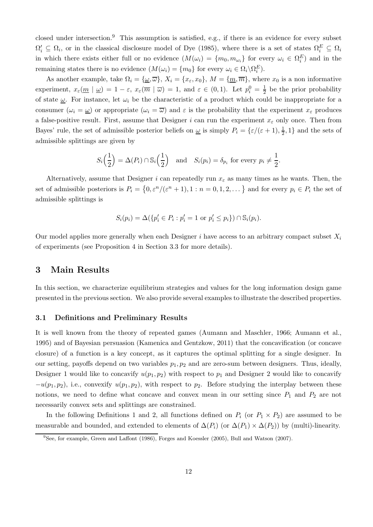closed under intersection.<sup>9</sup> This assumption is satisfied, e.g., if there is an evidence for every subset  $\Omega'_i \subseteq \Omega_i$ , or in the classical disclosure model of Dye (1985), where there is a set of states  $\Omega_i^E \subseteq \Omega_i$ in which there exists either full or no evidence  $(M(\omega_i) = \{m_0, m_{\omega_i}\})$  for every  $\omega_i \in \Omega_i^E$  and in the remaining states there is no evidence  $(M(\omega_i) = \{m_0\}$  for every  $\omega_i \in \Omega_i \backslash \Omega_i^E$ .

As another example, take  $\Omega_i = {\omega, \overline{\omega}}$ ,  $X_i = {x_{\varepsilon}, x_0}$ ,  $M = {m, \overline{m}}$ , where  $x_0$  is a non informative experiment,  $x_{\varepsilon}(\underline{m} \mid \underline{\omega}) = 1 - \varepsilon$ ,  $x_{\varepsilon}(\overline{m} \mid \overline{\omega}) = 1$ , and  $\varepsilon \in (0,1)$ . Let  $p_i^0 = \frac{1}{2}$  $\frac{1}{2}$  be the prior probability of state  $\omega$ . For instance, let  $\omega_i$  be the characteristic of a product which could be inappropriate for a consumer  $(\omega_i = \underline{\omega})$  or appropriate  $(\omega_i = \overline{\omega})$  and  $\varepsilon$  is the probability that the experiment  $x_{\varepsilon}$  produces a false-positive result. First, assume that Designer i can run the experiment  $x_{\varepsilon}$  only once. Then from Bayes' rule, the set of admissible posterior beliefs on  $\omega$  is simply  $P_i = \{\varepsilon/(\varepsilon + 1), \frac{1}{2}\}$  $\frac{1}{2}$ , 1} and the sets of admissible splittings are given by

$$
S_i\left(\frac{1}{2}\right) = \Delta(P_i) \cap \mathbb{S}_i\left(\frac{1}{2}\right) \quad \text{and} \quad S_i(p_i) = \delta_{p_i} \text{ for every } p_i \neq \frac{1}{2}.
$$

Alternatively, assume that Designer i can repeatedly run  $x_{\varepsilon}$  as many times as he wants. Then, the set of admissible posteriors is  $P_i = \{0, \varepsilon^n/(\varepsilon^{n} + 1), 1 : n = 0, 1, 2, \dots\}$  and for every  $p_i \in P_i$  the set of admissible splittings is

$$
S_i(p_i) = \Delta(\{p'_i \in P_i : p'_i = 1 \text{ or } p'_i \leq p_i\}) \cap \mathbb{S}_i(p_i).
$$

Our model applies more generally when each Designer i have access to an arbitrary compact subset  $X_i$ of experiments (see Proposition 4 in Section 3.3 for more details).

# 3 Main Results

In this section, we characterize equilibrium strategies and values for the long information design game presented in the previous section. We also provide several examples to illustrate the described properties.

#### 3.1 Definitions and Preliminary Results

It is well known from the theory of repeated games (Aumann and Maschler, 1966; Aumann et al., 1995) and of Bayesian persuasion (Kamenica and Gentzkow, 2011) that the concavification (or concave closure) of a function is a key concept, as it captures the optimal splitting for a single designer. In our setting, payoffs depend on two variables  $p_1, p_2$  and are zero-sum between designers. Thus, ideally, Designer 1 would like to concavify  $u(p_1, p_2)$  with respect to  $p_1$  and Designer 2 would like to concavify  $-u(p_1, p_2)$ , i.e., convexify  $u(p_1, p_2)$ , with respect to  $p_2$ . Before studying the interplay between these notions, we need to define what concave and convex mean in our setting since  $P_1$  and  $P_2$  are not necessarily convex sets and splittings are constrained.

In the following Definitions 1 and 2, all functions defined on  $P_i$  (or  $P_1 \times P_2$ ) are assumed to be measurable and bounded, and extended to elements of  $\Delta(P_i)$  (or  $\Delta(P_1) \times \Delta(P_2)$ ) by (multi)-linearity.

<sup>9</sup> See, for example, Green and Laffont (1986), Forges and Koessler (2005), Bull and Watson (2007).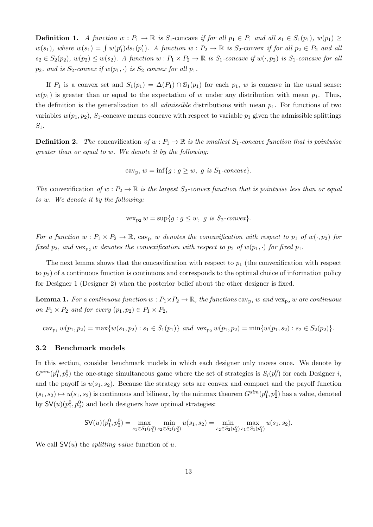**Definition 1.** *A function*  $w : P_1 \to \mathbb{R}$  *is*  $S_1$ -concave *if for all*  $p_1 \in P_1$  *and all*  $s_1 \in S_1(p_1)$ *,*  $w(p_1) \geq$  $w(s_1)$ , where  $w(s_1) = \int w(p'_1)ds_1(p'_1)$ . A function  $w : P_2 \to \mathbb{R}$  is  $S_2$ -convex if for all  $p_2 \in P_2$  and all  $s_2 \in S_2(p_2), w(p_2) \leq w(s_2)$ . A function  $w : P_1 \times P_2 \to \mathbb{R}$  is  $S_1$ -concave if  $w(\cdot, p_2)$  is  $S_1$ -concave for all  $p_2$ *, and is*  $S_2$ -convex if  $w(p_1, \cdot)$  *is*  $S_2$  *convex for all*  $p_1$ *.* 

If  $P_1$  is a convex set and  $S_1(p_1) = \Delta(P_1) \cap S_1(p_1)$  for each  $p_1$ , w is concave in the usual sense:  $w(p_1)$  is greater than or equal to the expectation of w under any distribution with mean  $p_1$ . Thus, the definition is the generalization to all *admissible* distributions with mean  $p_1$ . For functions of two variables  $w(p_1, p_2)$ , S<sub>1</sub>-concave means concave with respect to variable  $p_1$  given the admissible splittings  $S_1$ .

**Definition 2.** The concavification of  $w : P_1 \to \mathbb{R}$  is the smallest  $S_1$ -concave function that is pointwise *greater than or equal to* w*. We denote it by the following:*

$$
cav_{p_1} w = inf{g : g \ge w, g is S_1-concave}.
$$

*The* convexification of  $w : P_2 \to \mathbb{R}$  *is the largest*  $S_2$ -convex function that is pointwise less than or equal *to* w*. We denote it by the following:*

$$
vex_{p_2} w = \sup\{g : g \le w, g \text{ is } S_2\text{-}convex\}.
$$

*For a function*  $w : P_1 \times P_2 \to \mathbb{R}$ ,  $\text{cav}_{p_1} w$  *denotes the concavification with respect to*  $p_1$  *of*  $w(\cdot, p_2)$  *for fixed*  $p_2$ *, and* vex<sub>p2</sub> w *denotes the convexification with respect to*  $p_2$  *of*  $w(p_1, \cdot)$  *for fixed*  $p_1$ *.* 

The next lemma shows that the concavification with respect to  $p_1$  (the convexification with respect to  $p_2$ ) of a continuous function is continuous and corresponds to the optimal choice of information policy for Designer 1 (Designer 2) when the posterior belief about the other designer is fixed.

**Lemma 1.** For a continuous function  $w : P_1 \times P_2 \to \mathbb{R}$ , the functions  $\text{cav}_{p_1} w$  and  $\text{vex}_{p_2} w$  are continuous *on*  $P_1 \times P_2$  *and for every*  $(p_1, p_2) \in P_1 \times P_2$ *,* 

cav<sub>p1</sub>  $w(p_1, p_2) = \max\{w(s_1, p_2) : s_1 \in S_1(p_1)\}\$  *and*  $\operatorname{vex}_{p_2} w(p_1, p_2) = \min\{w(p_1, s_2) : s_2 \in S_2(p_2)\}\.$ 

#### 3.2 Benchmark models

In this section, consider benchmark models in which each designer only moves once. We denote by  $G^{sim}(p_1^0, p_2^0)$  the one-stage simultaneous game where the set of strategies is  $S_i(p_i^0)$  for each Designer i, and the payoff is  $u(s_1, s_2)$ . Because the strategy sets are convex and compact and the payoff function  $(s_1, s_2) \mapsto u(s_1, s_2)$  is continuous and bilinear, by the minmax theorem  $G^{sim}(p_1^0, p_2^0)$  has a value, denoted by  $\mathsf{SV}(u)(p_1^0, p_2^0)$  and both designers have optimal strategies:

$$
\mathsf{SV}(u)(p_1^0,p_2^0)=\max_{s_1\in S_1(p_1^0)}\min_{s_2\in S_2(p_2^0)}u(s_1,s_2)=\min_{s_2\in S_2(p_2^0)}\max_{s_1\in S_1(p_1^0)}u(s_1,s_2).
$$

We call  $SV(u)$  the *splitting value* function of u.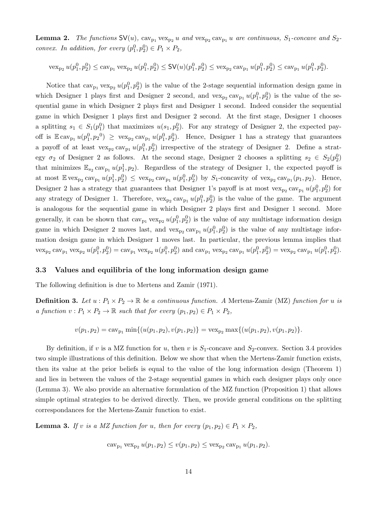**Lemma 2.** The functions  $SV(u)$ ,  $cav_{p_1} vex_{p_2} u$  and  $vex_{p_2} cav_{p_1} u$  are continuous,  $S_1$ -concave and  $S_2$ *convex. In addition, for every*  $(p_1^0, p_2^0) \in P_1 \times P_2$ ,

 $\text{vex}_{p_2} u(p_1^0, p_2^0) \leq \text{cav}_{p_1} \text{vex}_{p_2} u(p_1^0, p_2^0) \leq \text{SV}(u)(p_1^0, p_2^0) \leq \text{vex}_{p_2} \text{cav}_{p_1} u(p_1^0, p_2^0) \leq \text{cav}_{p_1} u(p_1^0, p_2^0).$ 

Notice that  $cav_{p_1} vex_{p_2} u(p_1^0, p_2^0)$  is the value of the 2-stage sequential information design game in which Designer 1 plays first and Designer 2 second, and  $\text{vex}_{p_2}\text{cav}_{p_1}u(p_1^0, p_2^0)$  is the value of the sequential game in which Designer 2 plays first and Designer 1 second. Indeed consider the sequential game in which Designer 1 plays first and Designer 2 second. At the first stage, Designer 1 chooses a splitting  $s_1 \in S_1(p_1^0)$  that maximizes  $u(s_1, p_2^0)$ . For any strategy of Designer 2, the expected payoff is  $\mathbb{E} \text{cav}_{p_1} u(p_1^0, p_2^0) \geq \text{vex}_{p_2} \text{cav}_{p_1} u(p_1^0, p_2^0)$ . Hence, Designer 1 has a strategy that guarantees a payoff of at least  $\text{vex}_{p_2}\text{cav}_{p_1}u(p_1^0, p_2^0)$  irrespective of the strategy of Designer 2. Define a strategy  $\sigma_2$  of Designer 2 as follows. At the second stage, Designer 2 chooses a splitting  $s_2 \in S_2(p_2^0)$ that minimizes  $\mathbb{E}_{s_2}$  cav<sub>p1</sub>  $u(p_1^1, p_2)$ . Regardless of the strategy of Designer 1, the expected payoff is at most  $\mathbb{E} \text{ vex}_{p_2} \text{cav}_{p_1} u(p_1^1, p_2^0) \leq \text{ vex}_{p_2} \text{cav}_{p_1} u(p_1^0, p_2^0)$  by  $S_1$ -concavity of  $\text{vex}_{p_2} \text{cav}_{p_1}(p_1, p_2)$ . Hence, Designer 2 has a strategy that guarantees that Designer 1's payoff is at most  $vex_{p_2} cav_{p_1} u(p_1^0, p_2^0)$  for any strategy of Designer 1. Therefore,  $vex_{p_2} cav_{p_1} u(p_1^0, p_2^0)$  is the value of the game. The argument is analogous for the sequential game in which Designer 2 plays first and Designer 1 second. More generally, it can be shown that  $\text{cav}_{p_1} \text{vex}_{p_2} u(p_1^0, p_2^0)$  is the value of any multistage information design game in which Designer 2 moves last, and  $\text{vex}_{p_2} \text{cav}_{p_1} u(p_1^0, p_2^0)$  is the value of any multistage information design game in which Designer 1 moves last. In particular, the previous lemma implies that  $\text{vex}_{p_2} \text{cav}_{p_1} \text{vex}_{p_2} u(p_1^0, p_2^0) = \text{cav}_{p_1} \text{vex}_{p_2} u(p_1^0, p_2^0)$  and  $\text{cav}_{p_1} \text{vex}_{p_2} \text{cav}_{p_1} u(p_1^0, p_2^0) = \text{vex}_{p_2} \text{cav}_{p_1} u(p_1^0, p_2^0)$ .

#### 3.3 Values and equilibria of the long information design game

The following definition is due to Mertens and Zamir (1971).

**Definition 3.** Let  $u : P_1 \times P_2 \to \mathbb{R}$  be a continuous function. A Mertens-Zamir (MZ) function for u is *a function*  $v : P_1 \times P_2 \to \mathbb{R}$  *such that for every*  $(p_1, p_2) \in P_1 \times P_2$ *,* 

$$
v(p_1, p_2) = \operatorname{cav}_{p_1} \min\{(u(p_1, p_2), v(p_1, p_2)\} = \operatorname{vex}_{p_2} \max\{(u(p_1, p_2), v(p_1, p_2)\}.
$$

By definition, if v is a MZ function for u, then v is  $S_1$ -concave and  $S_2$ -convex. Section 3.4 provides two simple illustrations of this definition. Below we show that when the Mertens-Zamir function exists, then its value at the prior beliefs is equal to the value of the long information design (Theorem 1) and lies in between the values of the 2-stage sequential games in which each designer plays only once (Lemma 3). We also provide an alternative formulation of the MZ function (Proposition 1) that allows simple optimal strategies to be derived directly. Then, we provide general conditions on the splitting correspondances for the Mertens-Zamir function to exist.

**Lemma 3.** *If* v *is a MZ* function for *u*, then for every  $(p_1, p_2) \in P_1 \times P_2$ ,

$$
cav_{p_1} vex_{p_2} u(p_1, p_2) \le v(p_1, p_2) \le vex_{p_2} cav_{p_1} u(p_1, p_2).
$$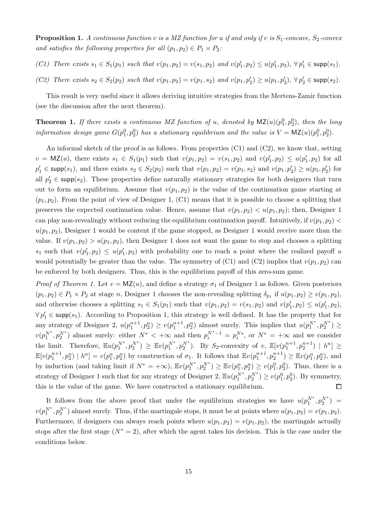**Proposition 1.** A continuous function v is a MZ function for u *if and only if* v *is*  $S_1$ -concave,  $S_2$ -convex *and satisfies the following properties for all*  $(p_1, p_2) \in P_1 \times P_2$ *:* 

- *(C1) There exists*  $s_1 \in S_1(p_1)$  *such that*  $v(p_1, p_2) = v(s_1, p_2)$  *and*  $v(p'_1, p_2) \le u(p'_1, p_2)$ ,  $\forall p'_1 \in \text{supp}(s_1)$ *.*
- *(C2) There exists*  $s_2 \in S_2(p_2)$  *such that*  $v(p_1, p_2) = v(p_1, s_2)$  *and*  $v(p_1, p'_2) \ge u(p_1, p'_2)$ ,  $\forall p'_2 \in \text{supp}(s_2)$ *.*

This result is very useful since it allows deriving intuitive strategies from the Mertens-Zamir function (see the discussion after the next theorem).

**Theorem 1.** If there exists a continuous MZ function of u, denoted by  $\mathsf{MZ}(u)(p_1^0, p_2^0)$ , then the long *information design game*  $G(p_1^0, p_2^0)$  has a stationary equilibrium and the value is  $V = \mathsf{MZ}(u)(p_1^0, p_2^0)$ .

An informal sketch of the proof is as follows. From properties  $(C1)$  and  $(C2)$ , we know that, setting  $v = \mathsf{MZ}(u)$ , there exists  $s_1 \in S_1(p_1)$  such that  $v(p_1, p_2) = v(s_1, p_2)$  and  $v(p'_1, p_2) \leq u(p'_1, p_2)$  for all  $p'_1 \in \text{supp}(s_1)$ , and there exists  $s_2 \in S_2(p_2)$  such that  $v(p_1, p_2) = v(p_1, s_2)$  and  $v(p_1, p'_2) \ge u(p_1, p'_2)$  for all  $p'_2 \in \text{supp}(s_2)$ . These properties define naturally stationary strategies for both designers that turn out to form an equilibrium. Assume that  $v(p_1, p_2)$  is the value of the continuation game starting at  $(p_1, p_2)$ . From the point of view of Designer 1, (C1) means that it is possible to choose a splitting that preserves the expected continuation value. Hence, assume that  $v(p_1, p_2) < u(p_1, p_2)$ ; then, Designer 1 can play non-revealingly without reducing the equilibrium continuation payoff. Intuitively, if  $v(p_1, p_2)$  $u(p_1, p_2)$ , Designer 1 would be content if the game stopped, as Designer 1 would receive more than the value. If  $v(p_1, p_2) > u(p_1, p_2)$ , then Designer 1 does not want the game to stop and chooses a splitting  $s_1$  such that  $v(p'_1, p_2) \le u(p'_1, p_2)$  with probability one to reach a point where the realized payoff u would potentially be greater than the value. The symmetry of (C1) and (C2) implies that  $v(p_1, p_2)$  can be enforced by both designers. Thus, this is the equilibrium payoff of this zero-sum game.

*Proof of Theorem 1.* Let  $v = MZ(u)$ , and define a strategy  $\sigma_1$  of Designer 1 as follows. Given posteriors  $(p_1, p_2) \in P_1 \times P_2$  at stage n, Designer 1 chooses the non-revealing splitting  $\delta_{p_1}$  if  $u(p_1, p_2) \ge v(p_1, p_2)$ , and otherwise chooses a splitting  $s_1 \in S_1(p_1)$  such that  $v(p_1, p_2) = v(s_1, p_2)$  and  $v(p'_1, p_2) \le u(p'_1, p_2)$ ,  $\forall p'_1 \in \text{supp}(s_1)$ . According to Proposition 1, this strategy is well defined. It has the property that for any strategy of Designer 2,  $u(p_1^{n+1}, p_2^n) \ge v(p_1^{n+1}, p_2^n)$  almost surely. This implies that  $u(p_1^{N^*}, p_2^{N^*}) \ge$  $v(p_1^{N^*}, p_2^{N^*})$  almost surely: either  $N^* < +\infty$  and then  $p_i^{N^*-1} = p_i^{N^*}$ , or  $N^* = +\infty$  and we consider the limit. Therefore,  $\mathbb{E}u(p_1^{N^*}, p_2^{N^*}) \geq \mathbb{E}v(p_1^{N^*}, p_2^{N^*})$ . By S<sub>2</sub>-convexity of v,  $\mathbb{E}[v(p_1^{n+1}, p_2^{n+1}) | h^n] \geq$  $\mathbb{E}[v(p_1^{n+1}, p_2^n) | h^n] = v(p_1^n, p_2^n)$  by construction of  $\sigma_1$ . It follows that  $\mathbb{E}v(p_1^{n+1}, p_2^{n+1}) \geq \mathbb{E}v(p_1^n, p_2^n)$ , and by induction (and taking limit if  $N^* = +\infty$ ),  $\mathbb{E}v(p_1^{N^*}, p_2^{N^*}) \ge \mathbb{E}v(p_1^n, p_2^n) \ge v(p_1^0, p_2^0)$ . Thus, there is a strategy of Designer 1 such that for any strategy of Designer 2,  $\mathbb{E}u(p_1^{N^*}, p_2^{N^*}) \ge v(p_1^0, p_2^0)$ . By symmetry, this is the value of the game. We have constructed a stationary equilibrium.  $\Box$ 

It follows from the above proof that under the equilibrium strategies we have  $u(p_1^{N^*}, p_2^{N^*}) =$  $v(p_1^{N^*}, p_2^{N^*})$  almost surely. Thus, if the martingale stops, it must be at points where  $u(p_1, p_2) = v(p_1, p_2)$ . Furthermore, if designers can always reach points where  $u(p_1, p_2) = v(p_1, p_2)$ , the martingale actually stops after the first stage  $(N^* = 2)$ , after which the agent takes his decision. This is the case under the conditions below.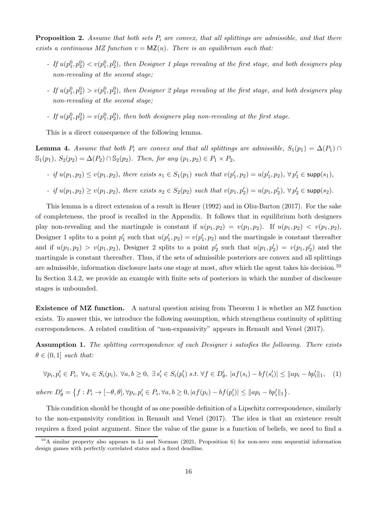**Proposition 2.** Assume that both sets  $P_i$  are convex, that all splittings are admissible, and that there *exists a continuous MZ function*  $v = MZ(u)$ *. There is an equilibrium such that:* 

- *-* If  $u(p_1^0, p_2^0) < v(p_1^0, p_2^0)$ , then Designer 1 plays revealing at the first stage, and both designers play *non-revealing at the second stage;*
- *-* If  $u(p_1^0, p_2^0) > v(p_1^0, p_2^0)$ , then Designer 2 plays revealing at the first stage, and both designers play *non-revealing at the second stage;*
- *-* If  $u(p_1^0, p_2^0) = v(p_1^0, p_2^0)$ , then both designers play non-revealing at the first stage.

This is a direct consequence of the following lemma.

**Lemma 4.** Assume that both  $P_i$  are convex and that all splittings are admissible,  $S_1(p_1) = \Delta(P_1) \cap$  $\mathbb{S}_1(p_1)$ *,*  $S_2(p_2) = \Delta(P_2) \cap \mathbb{S}_2(p_2)$ *. Then, for any*  $(p_1, p_2) \in P_1 \times P_2$ *,* 

*-* if  $u(p_1, p_2)$  ≤  $v(p_1, p_2)$ , there exists  $s_1 \text{ ∈ } S_1(p_1)$  such that  $v(p'_1, p_2) = u(p'_1, p_2)$ ,  $\forall p'_1 \text{ ∈ } supp(s_1)$ ,

- if 
$$
u(p_1, p_2) \ge v(p_1, p_2)
$$
, there exists  $s_2 \in S_2(p_2)$  such that  $v(p_1, p'_2) = u(p_1, p'_2)$ ,  $\forall p'_2 \in \text{supp}(s_2)$ .

This lemma is a direct extension of a result in Heuer (1992) and in Oliu-Barton (2017). For the sake of completeness, the proof is recalled in the Appendix. It follows that in equilibrium both designers play non-revealing and the martingale is constant if  $u(p_1, p_2) = v(p_1, p_2)$ . If  $u(p_1, p_2) < v(p_1, p_2)$ , Designer 1 splits to a point  $p'_1$  such that  $u(p'_1, p_2) = v(p'_1, p_2)$  and the martingale is constant thereafter and if  $u(p_1, p_2) > v(p_1, p_2)$ , Designer 2 splits to a point  $p'_2$  such that  $u(p_1, p'_2) = v(p_1, p'_2)$  and the martingale is constant thereafter. Thus, if the sets of admissible posteriors are convex and all splittings are admissible, information disclosure lasts one stage at most, after which the agent takes his decision.<sup>10</sup> In Section 3.4.2, we provide an example with finite sets of posteriors in which the number of disclosure stages is unbounded.

Existence of MZ function. A natural question arising from Theorem 1 is whether an MZ function exists. To answer this, we introduce the following assumption, which strengthens continuity of splitting correspondences. A related condition of "non-expansivity" appears in Renault and Venel (2017).

Assumption 1. *The splitting correspondence of each Designer* i *satisfies the following. There exists*  $\theta \in (0,1]$  *such that:* 

$$
\forall p_i, p'_i \in P_i, \ \forall s_i \in S_i(p_i), \ \forall a, b \ge 0, \ \exists s'_i \in S_i(p'_i) \ s.t. \ \forall f \in D^i_{\theta}, \ |af(s_i) - bf(s'_i)| \le ||ap_i - bp'_i||_1, \tag{1}
$$

 $where D^i_{\theta} = \{f : P_i \to [-\theta, \theta], \forall p_i, p'_i \in P_i, \forall a, b \ge 0, |af(p_i) - bf(p'_i)| \le ||ap_i - bp'_i||_1\}.$ 

This condition should be thought of as one possible definition of a Lipschitz correspondence, similarly to the non-expansivity condition in Renault and Venel (2017). The idea is that an existence result requires a fixed point argument. Since the value of the game is a function of beliefs, we need to find a

<sup>10</sup>A similar property also appears in Li and Norman (2021, Proposition 6) for non-zero sum sequential information design games with perfectly correlated states and a fixed deadline.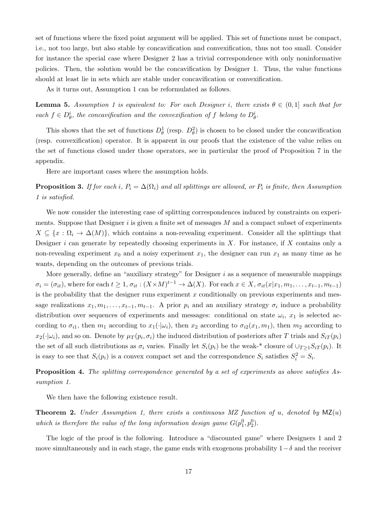set of functions where the fixed point argument will be applied. This set of functions must be compact, i.e., not too large, but also stable by concavification and convexification, thus not too small. Consider for instance the special case where Designer 2 has a trivial correspondence with only noninformative policies. Then, the solution would be the concavification by Designer 1. Thus, the value functions should at least lie in sets which are stable under concavification or convexification.

As it turns out, Assumption 1 can be reformulated as follows.

**Lemma 5.** Assumption 1 is equivalent to: For each Designer i, there exists  $\theta \in (0,1]$  such that for  $\text{each } f \in D^i_{\theta}$ , the concavification and the convexification of f belong to  $D^i_{\theta}$ .

This shows that the set of functions  $D^1_\theta$  (resp.  $D^2_\theta$ ) is chosen to be closed under the concavification (resp. convexification) operator. It is apparent in our proofs that the existence of the value relies on the set of functions closed under those operators, see in particular the proof of Proposition 7 in the appendix.

Here are important cases where the assumption holds.

**Proposition 3.** If for each i,  $P_i = \Delta(\Omega_i)$  and all splittings are allowed, or  $P_i$  is finite, then Assumption *1 is satisfied.*

We now consider the interesting case of splitting correspondences induced by constraints on experiments. Suppose that Designer  $i$  is given a finite set of messages  $M$  and a compact subset of experiments  $X \subseteq \{x : \Omega_i \to \Delta(M)\}\,$ , which contains a non-revealing experiment. Consider all the splittings that Designer  $i$  can generate by repeatedly choosing experiments in  $X$ . For instance, if  $X$  contains only a non-revealing experiment  $x_0$  and a noisy experiment  $x_1$ , the designer can run  $x_1$  as many time as he wants, depending on the outcomes of previous trials.

More generally, define an "auxiliary strategy" for Designer  $i$  as a sequence of measurable mappings  $\sigma_i = (\sigma_{it})$ , where for each  $t \geq 1$ ,  $\sigma_{it} : (X \times M)^{t-1} \to \Delta(X)$ . For each  $x \in X$ ,  $\sigma_{it}(x|x_1, m_1, \ldots, x_{t-1}, m_{t-1})$ is the probability that the designer runs experiment  $x$  conditionally on previous experiments and message realizations  $x_1, m_1, \ldots, x_{t-1}, m_{t-1}$ . A prior  $p_i$  and an auxiliary strategy  $\sigma_i$  induce a probability distribution over sequences of experiments and messages: conditional on state  $\omega_i$ ,  $x_1$  is selected according to  $\sigma_{i1}$ , then  $m_1$  according to  $x_1(\cdot|\omega_i)$ , then  $x_2$  according to  $\sigma_{i2}(x_1, m_1)$ , then  $m_2$  according to  $x_2(\cdot|\omega_i)$ , and so on. Denote by  $\mu_T(p_i,\sigma_i)$  the induced distribution of posteriors after T trials and  $S_{iT}(p_i)$ the set of all such distributions as  $\sigma_i$  varies. Finally let  $S_i(p_i)$  be the weak-\* closure of  $\cup_{T>1}S_{iT}(p_i)$ . It is easy to see that  $S_i(p_i)$  is a convex compact set and the correspondence  $S_i$  satisfies  $S_i^2 = S_i$ .

Proposition 4. *The splitting correspondence generated by a set of experiments as above satisfies Assumption 1.*

We then have the following existence result.

Theorem 2. *Under Assumption 1, there exists a continuous MZ function of* u*, denoted by* MZ(u) which is therefore the value of the long information design game  $G(p_1^0, p_2^0)$ .

The logic of the proof is the following. Introduce a "discounted game" where Designers 1 and 2 move simultaneously and in each stage, the game ends with exogenous probability  $1-\delta$  and the receiver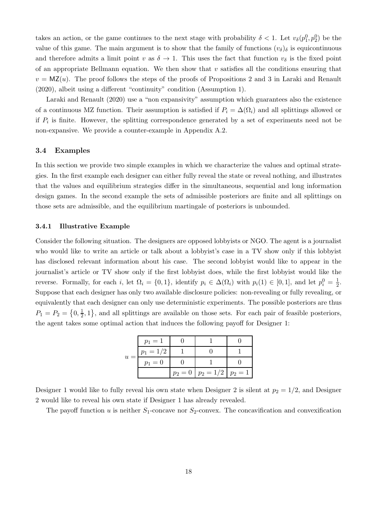takes an action, or the game continues to the next stage with probability  $\delta < 1$ . Let  $v_{\delta}(p_1^0, p_2^0)$  be the value of this game. The main argument is to show that the family of functions  $(v_{\delta})_{\delta}$  is equicontinuous and therefore admits a limit point v as  $\delta \to 1$ . This uses the fact that function  $v_{\delta}$  is the fixed point of an appropriate Bellmann equation. We then show that  $v$  satisfies all the conditions ensuring that  $v = MZ(u)$ . The proof follows the steps of the proofs of Propositions 2 and 3 in Laraki and Renault (2020), albeit using a different "continuity" condition (Assumption 1).

Laraki and Renault (2020) use a "non expansivity" assumption which guarantees also the existence of a continuous MZ function. Their assumption is satisfied if  $P_i = \Delta(\Omega_i)$  and all splittings allowed or if  $P_i$  is finite. However, the splitting correspondence generated by a set of experiments need not be non-expansive. We provide a counter-example in Appendix A.2.

#### 3.4 Examples

In this section we provide two simple examples in which we characterize the values and optimal strategies. In the first example each designer can either fully reveal the state or reveal nothing, and illustrates that the values and equilibrium strategies differ in the simultaneous, sequential and long information design games. In the second example the sets of admissible posteriors are finite and all splittings on those sets are admissible, and the equilibrium martingale of posteriors is unbounded.

#### 3.4.1 Illustrative Example

Consider the following situation. The designers are opposed lobbyists or NGO. The agent is a journalist who would like to write an article or talk about a lobbyist's case in a TV show only if this lobbyist has disclosed relevant information about his case. The second lobbyist would like to appear in the journalist's article or TV show only if the first lobbyist does, while the first lobbyist would like the reverse. Formally, for each i, let  $\Omega_i = \{0, 1\}$ , identify  $p_i \in \Delta(\Omega_i)$  with  $p_i(1) \in [0, 1]$ , and let  $p_i^0 = \frac{1}{2}$  $rac{1}{2}$ . Suppose that each designer has only two available disclosure policies: non-revealing or fully revealing, or equivalently that each designer can only use deterministic experiments. The possible posteriors are thus  $P_1 = P_2 = \left\{0, \frac{1}{2}\right\}$  $\frac{1}{2}$ , 1, and all splittings are available on those sets. For each pair of feasible posteriors, the agent takes some optimal action that induces the following payoff for Designer 1:

| $u =$ | $p_1 = 1$   |                                     |  |
|-------|-------------|-------------------------------------|--|
|       | $p_1 = 1/2$ |                                     |  |
|       | $p_1 = 0$   |                                     |  |
|       |             | $p_2 = 0$   $p_2 = 1/2$   $p_2 = 1$ |  |

Designer 1 would like to fully reveal his own state when Designer 2 is silent at  $p_2 = 1/2$ , and Designer 2 would like to reveal his own state if Designer 1 has already revealed.

The payoff function u is neither  $S_1$ -concave nor  $S_2$ -convex. The concavification and convexification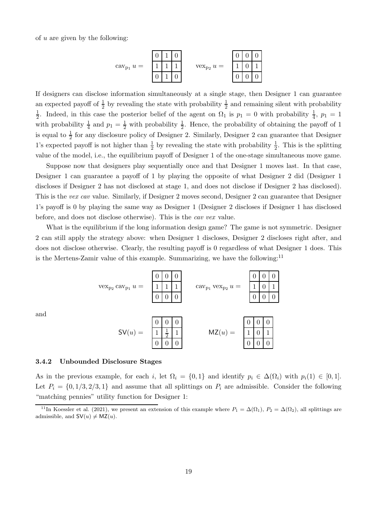of  $u$  are given by the following:



If designers can disclose information simultaneously at a single stage, then Designer 1 can guarantee an expected payoff of  $\frac{1}{2}$  by revealing the state with probability  $\frac{1}{2}$  and remaining silent with probability 1  $\frac{1}{2}$ . Indeed, in this case the posterior belief of the agent on  $\Omega_1$  is  $p_1 = 0$  with probability  $\frac{1}{4}$ ,  $p_1 = 1$ with probability  $\frac{1}{4}$  and  $p_1 = \frac{1}{2}$  with probability  $\frac{1}{2}$ . Hence, the probability of obtaining the payoff of 1 is equal to  $\frac{1}{2}$  for any disclosure policy of Designer 2. Similarly, Designer 2 can guarantee that Designer 1's expected payoff is not higher than  $\frac{1}{2}$  by revealing the state with probability  $\frac{1}{2}$ . This is the splitting value of the model, i.e., the equilibrium payoff of Designer 1 of the one-stage simultaneous move game.

Suppose now that designers play sequentially once and that Designer 1 moves last. In that case, Designer 1 can guarantee a payoff of 1 by playing the opposite of what Designer 2 did (Designer 1 discloses if Designer 2 has not disclosed at stage 1, and does not disclose if Designer 2 has disclosed). This is the *vex cav* value. Similarly, if Designer 2 moves second, Designer 2 can guarantee that Designer 1's payoff is 0 by playing the same way as Designer 1 (Designer 2 discloses if Designer 1 has disclosed before, and does not disclose otherwise). This is the *cav vex* value.

What is the equilibrium if the long information design game? The game is not symmetric. Designer 2 can still apply the strategy above: when Designer 1 discloses, Designer 2 discloses right after, and does not disclose otherwise. Clearly, the resulting payoff is 0 regardless of what Designer 1 does. This is the Mertens-Zamir value of this example. Summarizing, we have the following: $11$ 



3.4.2 Unbounded Disclosure Stages

and

As in the previous example, for each i, let  $\Omega_i = \{0,1\}$  and identify  $p_i \in \Delta(\Omega_i)$  with  $p_i(1) \in [0,1]$ . Let  $P_i = \{0, 1/3, 2/3, 1\}$  and assume that all splittings on  $P_i$  are admissible. Consider the following "matching pennies" utility function for Designer 1:

<sup>&</sup>lt;sup>11</sup>In Koessler et al. (2021), we present an extension of this example where  $P_1 = \Delta(\Omega_1)$ ,  $P_2 = \Delta(\Omega_2)$ , all splittings are admissible, and  $SV(u) \neq MZ(u)$ .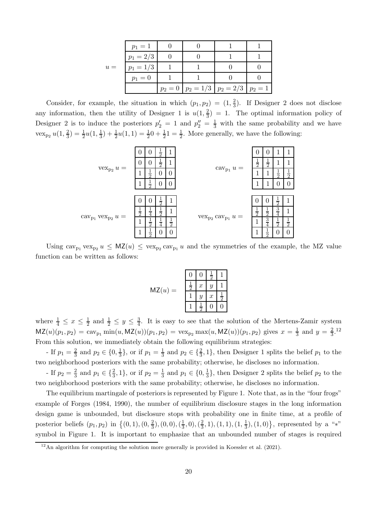|       | $p_1 = 0$   | $p_2 = 0$   $p_2 = 1/3$   $p_2 = 2/3$   $p_2 = 1$ |  |
|-------|-------------|---------------------------------------------------|--|
| $u =$ | $p_1 = 1/3$ |                                                   |  |
|       | $p_1 = 2/3$ |                                                   |  |
|       | $p_1 = 1$   |                                                   |  |

Consider, for example, the situation in which  $(p_1, p_2) = (1, \frac{2}{3})$  $\frac{2}{3}$ ). If Designer 2 does not disclose any information, then the utility of Designer 1 is  $u(1, \frac{2}{3})$  $\frac{2}{3}$ ) = 1. The optimal information policy of Designer 2 is to induce the posteriors  $p'_2 = 1$  and  $p''_2 = \frac{1}{3}$  with the same probability and we have vex<sub>p2</sub>  $u(1, \frac{2}{3})$  $\frac{2}{3}) = \frac{1}{2}u(1, \frac{1}{3})$  $\frac{1}{3}$ ) +  $\frac{1}{2}u(1,1) = \frac{1}{2}0 + \frac{1}{2}1 = \frac{1}{2}$ . More generally, we have the following:



Using  $\text{cav}_{p_1} \text{vex}_{p_2} u \leq MZ(u) \leq \text{vex}_{p_2} \text{cav}_{p_1} u$  and the symmetries of the example, the MZ value function can be written as follows:

|       | 0             | 0                | $\frac{1}{2}$    |    |
|-------|---------------|------------------|------------------|----|
| MZ(u) | $\frac{1}{2}$ | $\boldsymbol{x}$ | $\overline{y}$   |    |
| $=$   |               | $\boldsymbol{y}$ | $\boldsymbol{x}$ | నే |
|       |               | ≐<br>2           | ( )              | 0  |

where  $\frac{1}{4} \leq x \leq \frac{1}{2}$  $\frac{1}{2}$  and  $\frac{1}{2} \leq y \leq \frac{3}{4}$  $\frac{3}{4}$ . It is easy to see that the solution of the Mertens-Zamir system  $MZ(u)(p_1, p_2) = \text{cav}_{p_1} \min(u, MZ(u))(p_1, p_2) = \text{vex}_{p_2} \max(u, MZ(u))(p_1, p_2)$  gives  $x = \frac{1}{3}$  $rac{1}{3}$  and  $y = \frac{2}{3}$  $\frac{2}{3}$ .<sup>12</sup> From this solution, we immediately obtain the following equilibrium strategies:

- If  $p_1 = \frac{2}{3}$  and  $p_2 \in \{0, \frac{1}{3}$  $\frac{1}{3}$ , or if  $p_1 = \frac{1}{3}$  and  $p_2 \in {\frac{2}{3}, 1}$ , then Designer 1 splits the belief  $p_1$  to the two neighborhood posteriors with the same probability; otherwise, he discloses no information.

- If  $p_2 = \frac{2}{3}$  and  $p_1 \in {\frac{2}{3}, 1}$ , or if  $p_2 = \frac{1}{3}$  and  $p_1 \in {\{0, \frac{1}{3} \}}$  $\frac{1}{3}$ , then Designer 2 splits the belief  $p_2$  to the two neighborhood posteriors with the same probability; otherwise, he discloses no information.

The equilibrium martingale of posteriors is represented by Figure 1. Note that, as in the "four frogs" example of Forges (1984, 1990), the number of equilibrium disclosure stages in the long information design game is unbounded, but disclosure stops with probability one in finite time, at a profile of posterior beliefs  $(p_1, p_2)$  in  $\{(0, 1), (0, \frac{2}{3})\}$  $(\frac{2}{3}), (0, 0), (\frac{1}{3})$  $(\frac{1}{3},0),(\frac{2}{3})$  $(\frac{2}{3}, 1), (1, 1), (1, \frac{1}{3})$  $\left\{\frac{1}{3},(1,0)\right\}$ , represented by a "\*" symbol in Figure 1. It is important to emphasize that an unbounded number of stages is required

An algorithm for computing the solution more generally is provided in Koessler et al. (2021).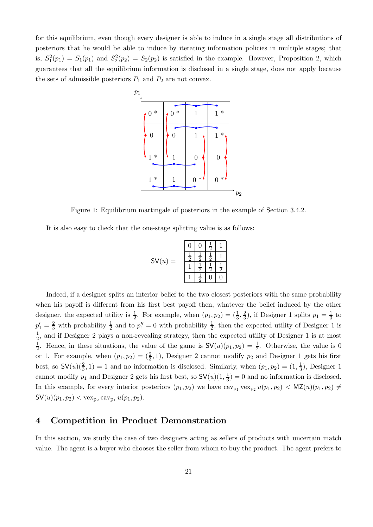for this equilibrium, even though every designer is able to induce in a single stage all distributions of posteriors that he would be able to induce by iterating information policies in multiple stages; that is,  $S_1^2(p_1) = S_1(p_1)$  and  $S_2^2(p_2) = S_2(p_2)$  is satisfied in the example. However, Proposition 2, which guarantees that all the equilibrium information is disclosed in a single stage, does not apply because the sets of admissible posteriors  $P_1$  and  $P_2$  are not convex.



Figure 1: Equilibrium martingale of posteriors in the example of Section 3.4.2.

It is also easy to check that the one-stage splitting value is as follows:

$$
\mathsf{SV}(u) = \begin{array}{c|cc} 0 & 0 & \frac{1}{2} & 1 \\ \frac{1}{2} & \frac{1}{2} & \frac{1}{2} & 1 \\ \hline 1 & \frac{1}{2} & \frac{1}{2} & \frac{1}{2} \\ \hline 1 & \frac{1}{2} & 0 & 0 \end{array}
$$

Indeed, if a designer splits an interior belief to the two closest posteriors with the same probability when his payoff is different from his first best payoff then, whatever the belief induced by the other designer, the expected utility is  $\frac{1}{2}$ . For example, when  $(p_1, p_2) = (\frac{1}{3}, \frac{2}{3})$  $(\frac{2}{3})$ , if Designer 1 splits  $p_1 = \frac{1}{3}$  $\frac{1}{3}$  to  $p'_1 = \frac{2}{3}$  with probability  $\frac{1}{2}$  and to  $p''_1 = 0$  with probability  $\frac{1}{2}$ , then the expected utility of Designer 1 is 1  $\frac{1}{2}$ , and if Designer 2 plays a non-revealing strategy, then the expected utility of Designer 1 is at most 1  $\frac{1}{2}$ . Hence, in these situations, the value of the game is  $\mathsf{SV}(u)(p_1, p_2) = \frac{1}{2}$ . Otherwise, the value is 0 or 1. For example, when  $(p_1, p_2) = (\frac{2}{3}, 1)$ , Designer 2 cannot modify  $p_2$  and Designer 1 gets his first best, so  $\mathsf{SV}(u)(\frac{2}{3},1) = 1$  and no information is disclosed. Similarly, when  $(p_1, p_2) = (1, \frac{1}{3})$  $\frac{1}{3}$ , Designer 1 cannot modify  $p_1$  and Designer 2 gets his first best, so  $\mathsf{SV}(u)(1, \frac{1}{3})$  $(\frac{1}{3}) = 0$  and no information is disclosed. In this example, for every interior posteriors  $(p_1, p_2)$  we have  $cav_{p_1} vex_{p_2} u(p_1, p_2) < MZ(u)(p_1, p_2) \neq$  $\mathsf{SV}(u)(p_1, p_2) < \text{vex}_{p_2} \text{cav}_{p_1} u(p_1, p_2).$ 

## 4 Competition in Product Demonstration

In this section, we study the case of two designers acting as sellers of products with uncertain match value. The agent is a buyer who chooses the seller from whom to buy the product. The agent prefers to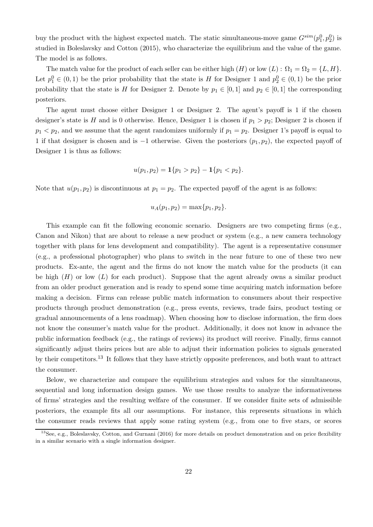buy the product with the highest expected match. The static simultaneous-move game  $G^{sim}(p_1^0, p_2^0)$  is studied in Boleslavsky and Cotton (2015), who characterize the equilibrium and the value of the game. The model is as follows.

The match value for the product of each seller can be either high  $(H)$  or low  $(L)$  :  $\Omega_1 = \Omega_2 = \{L, H\}.$ Let  $p_1^0 \in (0,1)$  be the prior probability that the state is H for Designer 1 and  $p_2^0 \in (0,1)$  be the prior probability that the state is H for Designer 2. Denote by  $p_1 \in [0,1]$  and  $p_2 \in [0,1]$  the corresponding posteriors.

The agent must choose either Designer 1 or Designer 2. The agent's payoff is 1 if the chosen designer's state is H and is 0 otherwise. Hence, Designer 1 is chosen if  $p_1 > p_2$ ; Designer 2 is chosen if  $p_1 < p_2$ , and we assume that the agent randomizes uniformly if  $p_1 = p_2$ . Designer 1's payoff is equal to 1 if that designer is chosen and is  $-1$  otherwise. Given the posteriors  $(p_1, p_2)$ , the expected payoff of Designer 1 is thus as follows:

$$
u(p_1, p_2) = \mathbf{1}{p_1 > p_2} - \mathbf{1}{p_1 < p_2}.
$$

Note that  $u(p_1, p_2)$  is discontinuous at  $p_1 = p_2$ . The expected payoff of the agent is as follows:

$$
u_A(p_1, p_2) = \max\{p_1, p_2\}.
$$

This example can fit the following economic scenario. Designers are two competing firms (e.g., Canon and Nikon) that are about to release a new product or system (e.g., a new camera technology together with plans for lens development and compatibility). The agent is a representative consumer (e.g., a professional photographer) who plans to switch in the near future to one of these two new products. Ex-ante, the agent and the firms do not know the match value for the products (it can be high  $(H)$  or low  $(L)$  for each product). Suppose that the agent already owns a similar product from an older product generation and is ready to spend some time acquiring match information before making a decision. Firms can release public match information to consumers about their respective products through product demonstration (e.g., press events, reviews, trade fairs, product testing or gradual announcements of a lens roadmap). When choosing how to disclose information, the firm does not know the consumer's match value for the product. Additionally, it does not know in advance the public information feedback (e.g., the ratings of reviews) its product will receive. Finally, firms cannot significantly adjust theirs prices but are able to adjust their information policies to signals generated by their competitors.<sup>13</sup> It follows that they have strictly opposite preferences, and both want to attract the consumer.

Below, we characterize and compare the equilibrium strategies and values for the simultaneous, sequential and long information design games. We use those results to analyze the informativeness of firms' strategies and the resulting welfare of the consumer. If we consider finite sets of admissible posteriors, the example fits all our assumptions. For instance, this represents situations in which the consumer reads reviews that apply some rating system (e.g., from one to five stars, or scores

<sup>13</sup>See, e.g., Boleslavsky, Cotton, and Gurnani (2016) for more details on product demonstration and on price flexibility in a similar scenario with a single information designer.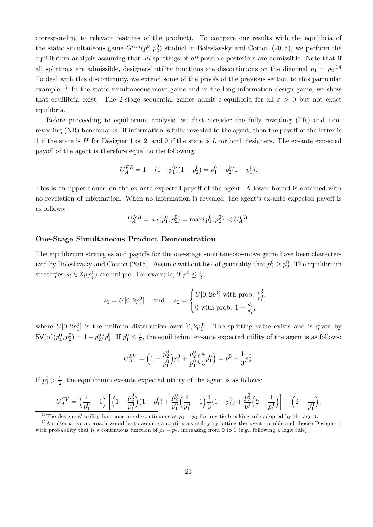corresponding to relevant features of the product). To compare our results with the equilibria of the static simultaneous game  $G^{sim}(p_1^0, p_2^0)$  studied in Boleslavsky and Cotton (2015), we perform the equilibrium analysis assuming that *all* splittings of *all* possible posteriors are admissible. Note that if all splittings are admissible, designers' utility functions are discontinuous on the diagonal  $p_1 = p_2$ .<sup>14</sup> To deal with this discontinuity, we extend some of the proofs of the previous section to this particular example.<sup>15</sup> In the static simultaneous-move game and in the long information design game, we show that equilibria exist. The 2-stage sequential games admit  $\varepsilon$ -equilibria for all  $\varepsilon > 0$  but not exact equilibria.

Before proceeding to equilibrium analysis, we first consider the fully revealing (FR) and nonrevealing (NR) benchmarks. If information is fully revealed to the agent, then the payoff of the latter is 1 if the state is H for Designer 1 or 2, and 0 if the state is L for both designers. The ex-ante expected payoff of the agent is therefore equal to the following:

$$
U_A^{FR} = 1 - (1 - p_1^0)(1 - p_2^0) = p_1^0 + p_2^0(1 - p_1^0).
$$

This is an upper bound on the ex-ante expected payoff of the agent. A lower bound is obtained with no revelation of information. When no information is revealed, the agent's ex-ante expected payoff is as follows:

$$
U_A^{NR} = u_A(p_1^0, p_2^0) = \max\{p_1^0, p_2^0\} < U_A^{FR}.
$$

#### One-Stage Simultaneous Product Demonstration

The equilibrium strategies and payoffs for the one-stage simultaneous-move game have been characterized by Boleslavsky and Cotton (2015). Assume without loss of generality that  $p_1^0 \ge p_2^0$ . The equilibrium strategies  $s_i \in \mathbb{S}_i(p_i^0)$  are unique. For example, if  $p_1^0 \leq \frac{1}{2}$  $\frac{1}{2}$ ,

$$
s_1 = U[0, 2p_1^0] \text{ and } s_2 = \begin{cases} U[0, 2p_1^0] \text{ with prob. } \frac{p_2^0}{p_1^0}, \\ 0 \text{ with prob. } 1 - \frac{p_2^0}{p_1^0}, \end{cases}
$$

where  $U[0, 2p_1^0]$  is the uniform distribution over  $[0, 2p_1^0]$ . The splitting value exists and is given by  $\mathsf{SV}(u)(p_1^0, p_2^0) = 1 - p_2^0/p_1^0$ . If  $p_1^0 \leq \frac{1}{2}$  $\frac{1}{2}$ , the equilibrium ex-ante expected utility of the agent is as follows:

$$
U_A^{SV} = \left(1 - \frac{p_2^0}{p_1^0}\right) p_1^0 + \frac{p_2^0}{p_1^0} \left(\frac{4}{3}p_1^0\right) = p_1^0 + \frac{1}{3}p_2^0.
$$

If  $p_1^0 > \frac{1}{2}$ , the equilibrium ex-ante expected utility of the agent is as follows:

$$
U_A^{SV} = \left(\frac{1}{p_1^0} - 1\right) \left[ \left(1 - \frac{p_2^0}{p_1^0}\right) (1 - p_1^0) + \frac{p_2^0}{p_1^0} \left(\frac{1}{p_1^0} - 1\right) \frac{4}{3} (1 - p_1^0) + \frac{p_2^0}{p_1^0} \left(2 - \frac{1}{p_1^0}\right) \right] + \left(2 - \frac{1}{p_1^0}\right).
$$

<sup>&</sup>lt;sup>14</sup>The designers' utility functions are discontinuous at  $p_1 = p_2$  for any tie-breaking rule adopted by the agent.

<sup>&</sup>lt;sup>15</sup>An alternative approach would be to assume a continuous utility by letting the agent tremble and choose Designer 1 with probability that is a continuous function of  $p_1 - p_2$ , increasing from 0 to 1 (e.g., following a logit rule).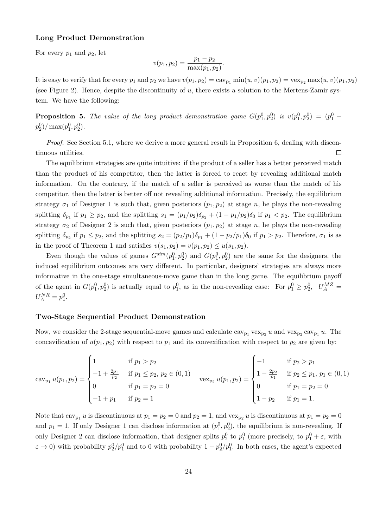### Long Product Demonstration

For every  $p_1$  and  $p_2$ , let

$$
v(p_1, p_2) = \frac{p_1 - p_2}{\max(p_1, p_2)}.
$$

It is easy to verify that for every  $p_1$  and  $p_2$  we have  $v(p_1, p_2) = \text{cav}_{p_1} \min(u, v)(p_1, p_2) = \text{vex}_{p_2} \max(u, v)(p_1, p_2)$ (see Figure 2). Hence, despite the discontinuity of  $u$ , there exists a solution to the Mertens-Zamir system. We have the following:

**Proposition 5.** The value of the long product demonstration game  $G(p_1^0, p_2^0)$  is  $v(p_1^0, p_2^0) = (p_1^0 - p_2^0)$  $p_2^0$  $/$  max $(p_1^0, p_2^0)$ .

*Proof.* See Section 5.1, where we derive a more general result in Proposition 6, dealing with discon- $\Box$ tinuous utilities.

The equilibrium strategies are quite intuitive: if the product of a seller has a better perceived match than the product of his competitor, then the latter is forced to react by revealing additional match information. On the contrary, if the match of a seller is perceived as worse than the match of his competitor, then the latter is better off not revealing additional information. Precisely, the equilibrium strategy  $\sigma_1$  of Designer 1 is such that, given posteriors  $(p_1, p_2)$  at stage n, he plays the non-revealing splitting  $\delta_{p_1}$  if  $p_1 \geq p_2$ , and the splitting  $s_1 = (p_1/p_2)\delta_{p_2} + (1 - p_1/p_2)\delta_0$  if  $p_1 < p_2$ . The equilibrium strategy  $\sigma_2$  of Designer 2 is such that, given posteriors  $(p_1, p_2)$  at stage n, he plays the non-revealing splitting  $\delta_{p_2}$  if  $p_1 \leq p_2$ , and the splitting  $s_2 = (p_2/p_1)\delta_{p_1} + (1 - p_2/p_1)\delta_0$  if  $p_1 > p_2$ . Therefore,  $\sigma_1$  is as in the proof of Theorem 1 and satisfies  $v(s_1, p_2) = v(p_1, p_2) \leq u(s_1, p_2)$ .

Even though the values of games  $G^{sim}(p_1^0, p_2^0)$  and  $G(p_1^0, p_2^0)$  are the same for the designers, the induced equilibrium outcomes are very different. In particular, designers' strategies are always more informative in the one-stage simultaneous-move game than in the long game. The equilibrium payoff of the agent in  $G(p_1^0, p_2^0)$  is actually equal to  $p_1^0$ , as in the non-revealing case: For  $p_1^0 \ge p_2^0$ ,  $U_A^{MZ} =$  $U_A^{NR} = p_1^0.$ 

#### Two-Stage Sequential Product Demonstration

Now, we consider the 2-stage sequential-move games and calculate  $\text{cav}_{p_1} \text{vex}_{p_2} u$  and  $\text{vex}_{p_2} \text{cav}_{p_1} u$ . The concavification of  $u(p_1, p_2)$  with respect to  $p_1$  and its convexification with respect to  $p_2$  are given by:

$$
\operatorname{cav}_{p_1} u(p_1, p_2) = \begin{cases} 1 & \text{if } p_1 > p_2 \\ -1 + \frac{2p_1}{p_2} & \text{if } p_1 \leq p_2, \ p_2 \in (0, 1) \\ 0 & \text{if } p_1 = p_2 = 0 \\ -1 + p_1 & \text{if } p_2 = 1 \end{cases} \quad \operatorname{vex}_{p_2} u(p_1, p_2) = \begin{cases} -1 & \text{if } p_2 > p_1 \\ 1 - \frac{2p_2}{p_1} & \text{if } p_2 \leq p_1, \ p_1 \in (0, 1) \\ 0 & \text{if } p_1 = p_2 = 0 \\ 1 - p_2 & \text{if } p_1 = 1. \end{cases}
$$

Note that  $cav_{p_1} u$  is discontinuous at  $p_1 = p_2 = 0$  and  $p_2 = 1$ , and  $vex_{p_2} u$  is discontinuous at  $p_1 = p_2 = 0$ and  $p_1 = 1$ . If only Designer 1 can disclose information at  $(p_1^0, p_2^0)$ , the equilibrium is non-revealing. If only Designer 2 can disclose information, that designer splits  $p_2^0$  to  $p_1^0$  (more precisely, to  $p_1^0 + \varepsilon$ , with  $\varepsilon \to 0$ ) with probability  $p_2^0/p_1^0$  and to 0 with probability  $1-p_2^0/p_1^0$ . In both cases, the agent's expected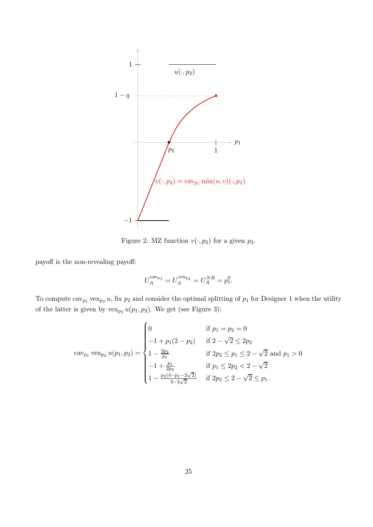

Figure 2: MZ function  $v( \cdot, p_2)$  for a given  $p_2$ .

payoff is the non-revealing payoff:

$$
U_A^{\text{cav}_{p_1}} = U_A^{\text{vex}_{p_2}} = U_A^{NR} = p_1^0.
$$

To compute  $\text{cav}_{p_1} \text{vex}_{p_2} u$ , fix  $p_2$  and consider the optimal splitting of  $p_1$  for Designer 1 when the utility of the latter is given by  $\text{vex}_{p_2} u(p_1, p_2)$ . We get (see Figure 3):

$$
cav_{p_1} vex_{p_2} u(p_1, p_2) = \begin{cases} 0 & \text{if } p_1 = p_2 = 0\\ -1 + p_1(2 - p_2) & \text{if } 2 - \sqrt{2} \le 2p_2\\ 1 - \frac{2p_2}{p_1} & \text{if } 2p_2 \le p_1 \le 2 - \sqrt{2} \text{ and } p_1 > 0\\ -1 + \frac{p_1}{2p_2} & \text{if } p_1 \le 2p_2 < 2 - \sqrt{2}\\ 1 - \frac{p_2(4 - p_1 - 2\sqrt{2})}{3 - 2\sqrt{2}} & \text{if } 2p_2 \le 2 - \sqrt{2} \le p_1. \end{cases}
$$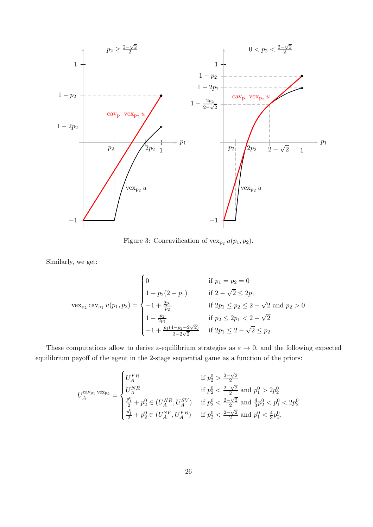

Figure 3: Concavification of  $\text{vex}_{p_2} u(p_1, p_2)$ .

Similarly, we get:

$$
\text{vex}_{p_2} \text{cav}_{p_1} u(p_1, p_2) = \begin{cases} 0 & \text{if } p_1 = p_2 = 0 \\ 1 - p_2(2 - p_1) & \text{if } 2 - \sqrt{2} \le 2p_1 \\ -1 + \frac{2p_1}{p_2} & \text{if } 2p_1 \le p_2 \le 2 - \sqrt{2} \text{ and } p_2 > 0 \\ 1 - \frac{p_2}{2p_1} & \text{if } p_2 \le 2p_1 < 2 - \sqrt{2} \\ -1 + \frac{p_1(4 - p_2 - 2\sqrt{2})}{3 - 2\sqrt{2}} & \text{if } 2p_1 \le 2 - \sqrt{2} \le p_2. \end{cases}
$$

These computations allow to derive  $\varepsilon$ -equilibrium strategies as  $\varepsilon \to 0$ , and the following expected equilibrium payoff of the agent in the 2-stage sequential game as a function of the priors:

$$
U_A^{\text{cav}_{p_1}\text{vex}_{p_2}} = \begin{cases} U_A^{\text{FR}} & \text{if } p_2^0 > \frac{2-\sqrt{2}}{2} \\ U_A^{\text{NR}} & \text{if } p_2^0 < \frac{2-\sqrt{2}}{2} \text{ and } p_1^0 > 2p_2^0 \\ \frac{p_1^0}{2} + p_2^0 \in (U_A^{\text{NR}}, U_A^{\text{SV}}) & \text{if } p_2^0 < \frac{2-\sqrt{2}}{2} \text{ and } \frac{4}{3}p_2^0 < p_1^0 < 2p_2^0 \\ \frac{p_1^0}{2} + p_2^0 \in (U_A^{\text{SV}}, U_A^{\text{FR}}) & \text{if } p_2^0 < \frac{2-\sqrt{2}}{2} \text{ and } p_1^0 < \frac{4}{3}p_2^0, \end{cases}
$$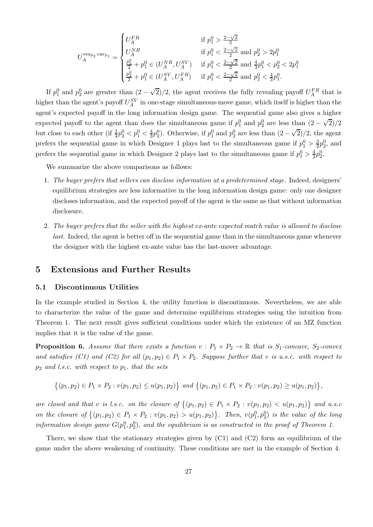$$
U_A^{\text{vex}_{p_2} \text{ cav}_{p_1}} = \begin{cases} U_A^F R & \text{if } p_1^0 > \frac{2 - \sqrt{2}}{2} \\ U_A^{NR} & \text{if } p_1^0 < \frac{2 - \sqrt{2}}{2} \text{ and } p_2^0 > 2p_1^0 \\ \frac{p_2^0}{2} + p_1^0 \in (U_A^{NR}, U_A^{SV}) & \text{if } p_1^0 < \frac{2 - \sqrt{2}}{2} \text{ and } \frac{4}{3}p_1^0 < p_2^0 < 2p_1^0 \\ \frac{p_2^0}{2} + p_1^0 \in (U_A^{SV}, U_A^{FR}) & \text{if } p_1^0 < \frac{2 - \sqrt{2}}{2} \text{ and } p_2^0 < \frac{4}{3}p_1^0. \end{cases}
$$

If  $p_1^0$  and  $p_2^0$  are greater than  $(2-\sqrt{2})/2$ , the agent receives the fully revealing payoff  $U_A^{FR}$  that is higher than the agent's payoff  $U_A^{SV}$  in one-stage simultaneous-move game, which itself is higher than the agent's expected payoff in the long information design game. The sequential game also gives a higher expected payoff to the agent than does the simultaneous game if  $p_1^0$  and  $p_2^0$  are less than  $(2-\sqrt{2})/2$ but close to each other (if  $\frac{3}{4}p_2^0 < p_1^0 < \frac{4}{3}p_2^0$ ). Otherwise, if  $p_1^0$  and  $p_2^0$  are less than  $(2-\sqrt{2})/2$ , the agent prefers the sequential game in which Designer 1 plays last to the simultaneous game if  $p_1^0 > \frac{3}{4}$  $\frac{3}{4}p_2^0$ , and prefers the sequential game in which Designer 2 plays last to the simultaneous game if  $p_1^0 > \frac{4}{3}$  $\frac{4}{3}p_2^0$ .

We summarize the above comparisons as follows:

- 1. *The buyer prefers that sellers can disclose information at a predetermined stage.* Indeed, designers' equilibrium strategies are less informative in the long information design game: only one designer discloses information, and the expected payoff of the agent is the same as that without information disclosure.
- 2. *The buyer prefers that the seller with the highest ex-ante expected match value is allowed to disclose last.* Indeed, the agent is better off in the sequential game than in the simultaneous game whenever the designer with the highest ex-ante value has the last-mover advantage.

# 5 Extensions and Further Results

#### 5.1 Discontinuous Utilities

In the example studied in Section 4, the utility function is discontinuous. Nevertheless, we are able to characterize the value of the game and determine equilibrium strategies using the intuition from Theorem 1. The next result gives sufficient conditions under which the existence of an MZ function implies that it is the value of the game.

**Proposition 6.** Assume that there exists a function  $v : P_1 \times P_2 \to \mathbb{R}$  that is  $S_1$ -concave,  $S_2$ -convex *and satisfies (C1) and (C2) for all*  $(p_1, p_2) \in P_1 \times P_2$ *. Suppose further that* v *is u.s.c. with respect to* p<sup>2</sup> *and l.s.c. with respect to* p1*, that the sets*

 $\{(p_1, p_2) \in P_1 \times P_2 : v(p_1, p_2) \leq u(p_1, p_2)\}\$ and  $\{(p_1, p_2) \in P_1 \times P_2 : v(p_1, p_2) \geq u(p_1, p_2)\}\$ ,

*are closed and that* v *is l.s.c.* on the closure of  $\{(p_1, p_2) \in P_1 \times P_2 : v(p_1, p_2) < u(p_1, p_2)\}\$  and u.s.c *on the closure of*  $\{(p_1, p_2) \in P_1 \times P_2 : v(p_1, p_2) > u(p_1, p_2)\}\$ . Then,  $v(p_1^0, p_2^0)$  is the value of the long *information design game*  $G(p_1^0, p_2^0)$ , and the equilibrium is as constructed in the proof of Theorem 1.

There, we show that the stationary strategies given by  $(C1)$  and  $(C2)$  form an equilibrium of the game under the above weakening of continuity. These conditions are met in the example of Section 4.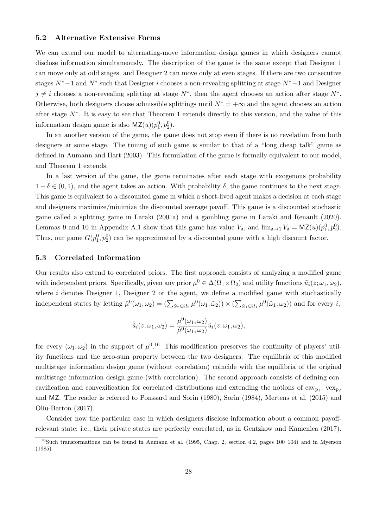#### 5.2 Alternative Extensive Forms

We can extend our model to alternating-move information design games in which designers cannot disclose information simultaneously. The description of the game is the same except that Designer 1 can move only at odd stages, and Designer 2 can move only at even stages. If there are two consecutive stages  $N^* - 1$  and  $N^*$  such that Designer i chooses a non-revealing splitting at stage  $N^* - 1$  and Designer  $j \neq i$  chooses a non-revealing splitting at stage  $N^*$ , then the agent chooses an action after stage  $N^*$ . Otherwise, both designers choose admissible splittings until  $N^* = +\infty$  and the agent chooses an action after stage  $N^*$ . It is easy to see that Theorem 1 extends directly to this version, and the value of this information design game is also  $\mathsf{MZ}(u)(p_1^0, p_2^0)$ .

In an another version of the game, the game does not stop even if there is no revelation from both designers at some stage. The timing of such game is similar to that of a "long cheap talk" game as defined in Aumann and Hart (2003). This formulation of the game is formally equivalent to our model, and Theorem 1 extends.

In a last version of the game, the game terminates after each stage with exogenous probability  $1 - \delta \in (0, 1)$ , and the agent takes an action. With probability  $\delta$ , the game continues to the next stage. This game is equivalent to a discounted game in which a short-lived agent makes a decision at each stage and designers maximize/minimize the discounted average payoff. This game is a discounted stochastic game called a splitting game in Laraki (2001a) and a gambling game in Laraki and Renault (2020). Lemmas 9 and 10 in Appendix A.1 show that this game has value  $V_{\delta}$ , and  $\lim_{\delta \to 1} V_{\delta} = MZ(u)(p_1^0, p_2^0)$ . Thus, our game  $G(p_1^0, p_2^0)$  can be approximated by a discounted game with a high discount factor.

#### 5.3 Correlated Information

Our results also extend to correlated priors. The first approach consists of analyzing a modified game with independent priors. Specifically, given any prior  $\mu^0 \in \Delta(\Omega_1 \times \Omega_2)$  and utility functions  $\tilde{u}_i(z; \omega_1, \omega_2)$ , where  $i$  denotes Designer 1, Designer 2 or the agent, we define a modified game with stochastically independent states by letting  $\hat{\mu}^0(\omega_1, \omega_2) = (\sum_{\tilde{\omega}_2 \in \Omega_2} \mu^0(\omega_1, \tilde{\omega}_2)) \times (\sum_{\tilde{\omega}_1 \in \Omega_1} \mu^0(\tilde{\omega}_1, \omega_2))$  and for every *i*,

$$
\hat{\tilde{u}}_i(z;\omega_1,\omega_2) = \frac{\mu^0(\omega_1,\omega_2)}{\hat{\mu}^0(\omega_1,\omega_2)} \tilde{u}_i(z;\omega_1,\omega_2),
$$

for every  $(\omega_1, \omega_2)$  in the support of  $\mu^{0.16}$  This modification preserves the continuity of players' utility functions and the zero-sum property between the two designers. The equilibria of this modified multistage information design game (without correlation) coincide with the equilibria of the original multistage information design game (with correlation). The second approach consists of defining concavification and convexification for correlated distributions and extending the notions of  $\langle \text{cav}_{p_1}, \text{vex}_{p_2} \rangle$ and MZ. The reader is referred to Ponssard and Sorin (1980), Sorin (1984), Mertens et al. (2015) and Oliu-Barton (2017).

Consider now the particular case in which designers disclose information about a common payoffrelevant state; i.e., their private states are perfectly correlated, as in Gentzkow and Kamenica (2017).

 $16$ Such transformations can be found in Aumann et al. (1995, Chap. 2, section 4.2, pages 100–104) and in Myerson (1985).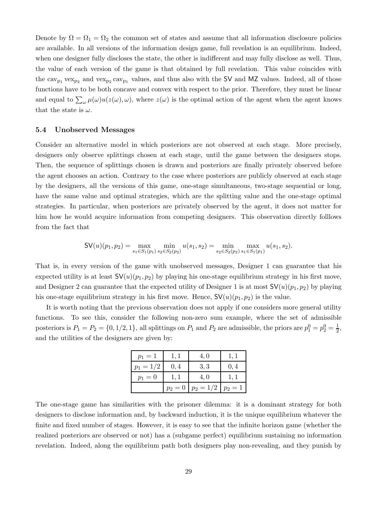Denote by  $\Omega = \Omega_1 = \Omega_2$  the common set of states and assume that all information disclosure policies are available. In all versions of the information design game, full revelation is an equilibrium. Indeed, when one designer fully discloses the state, the other is indifferent and may fully disclose as well. Thus, the value of each version of the game is that obtained by full revelation. This value coincides with the  $\text{cav}_{p_1} \text{vex}_{p_2}$  and  $\text{vex}_{p_2} \text{cav}_{p_1}$  values, and thus also with the SV and MZ values. Indeed, all of those functions have to be both concave and convex with respect to the prior. Therefore, they must be linear and equal to  $\sum_{\omega} \mu(\omega) u(z(\omega), \omega)$ , where  $z(\omega)$  is the optimal action of the agent when the agent knows that the state is  $\omega$ .

#### 5.4 Unobserved Messages

Consider an alternative model in which posteriors are not observed at each stage. More precisely, designers only observe splittings chosen at each stage, until the game between the designers stops. Then, the sequence of splittings chosen is drawn and posteriors are finally privately observed before the agent chooses an action. Contrary to the case where posteriors are publicly observed at each stage by the designers, all the versions of this game, one-stage simultaneous, two-stage sequential or long, have the same value and optimal strategies, which are the splitting value and the one-stage optimal strategies. In particular, when posteriors are privately observed by the agent, it does not matter for him how he would acquire information from competing designers. This observation directly folllows from the fact that

$$
\mathsf{SV}(u)(p_1,p_2)=\max_{s_1\in S_1(p_1)}\min_{s_2\in S_2(p_2)}u(s_1,s_2)=\min_{s_2\in S_2(p_2)}\max_{s_1\in S_1(p_1)}u(s_1,s_2).
$$

That is, in every version of the game with unobserved messages, Designer 1 can guarantee that his expected utility is at least  $\mathsf{SV}(u)(p_1, p_2)$  by playing his one-stage equilibrium strategy in his first move, and Designer 2 can guarantee that the expected utility of Designer 1 is at most  $\mathsf{SV}(u)(p_1, p_2)$  by playing his one-stage equilibrium strategy in his first move. Hence,  $\mathsf{SV}(u)(p_1, p_2)$  is the value.

It is worth noting that the previous observation does not apply if one considers more general utility functions. To see this, consider the following non-zero sum example, where the set of admissible posteriors is  $P_1 = P_2 = \{0, 1/2, 1\}$ , all splittings on  $P_1$  and  $P_2$  are admissible, the priors are  $p_1^0 = p_2^0 = \frac{1}{2}$  $\frac{1}{2}$ , and the utilities of the designers are given by:

| $p_1 = 1$   | 1, 1      | 4,0         | 1, 1      |
|-------------|-----------|-------------|-----------|
| $p_1 = 1/2$ | 0,4       | 3, 3        | 0,4       |
| $p_1 = 0$   |           | 4,0         |           |
|             | $p_2 = 0$ | $p_2 = 1/2$ | $p_2 = 1$ |

The one-stage game has similarities with the prisoner dilemma: it is a dominant strategy for both designers to disclose information and, by backward induction, it is the unique equilibrium whatever the finite and fixed number of stages. However, it is easy to see that the infinite horizon game (whether the realized posteriors are observed or not) has a (subgame perfect) equilibrium sustaining no information revelation. Indeed, along the equilibrium path both designers play non-revealing, and they punish by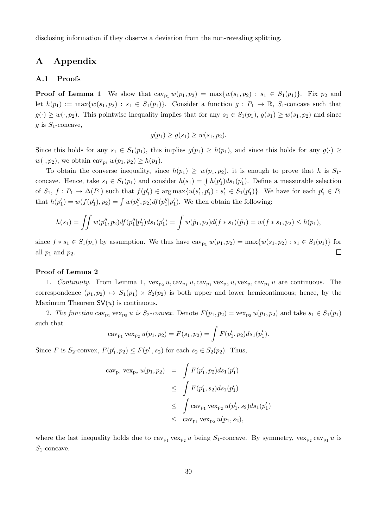disclosing information if they observe a deviation from the non-revealing splitting.

# A Appendix

#### A.1 Proofs

**Proof of Lemma 1** We show that  $cav_{p_1} w(p_1, p_2) = max{w(s_1, p_2) : s_1 \in S_1(p_1)}$ . Fix  $p_2$  and let  $h(p_1) := \max\{w(s_1, p_2) : s_1 \in S_1(p_1)\}\$ . Consider a function  $g : P_1 \to \mathbb{R}$ ,  $S_1$ -concave such that  $g(\cdot) \geq w(\cdot, p_2)$ . This pointwise inequality implies that for any  $s_1 \in S_1(p_1)$ ,  $g(s_1) \geq w(s_1, p_2)$  and since  $g$  is  $S_1$ -concave,

$$
g(p_1) \ge g(s_1) \ge w(s_1, p_2).
$$

Since this holds for any  $s_1 \in S_1(p_1)$ , this implies  $g(p_1) \ge h(p_1)$ , and since this holds for any  $g(\cdot) \ge$  $w(\cdot, p_2)$ , we obtain cav<sub>p<sub>1</sub></sub>  $w(p_1, p_2) \geq h(p_1)$ .

To obtain the converse inequality, since  $h(p_1) \geq w(p_1, p_2)$ , it is enough to prove that h is  $S_1$ concave. Hence, take  $s_1 \in S_1(p_1)$  and consider  $h(s_1) = \int h(p'_1)ds_1(p'_1)$ . Define a measurable selection of  $S_1$ ,  $f: P_1 \to \Delta(P_1)$  such that  $f(p'_1) \in \arg \max \{u(s'_1, p'_1) : s'_1 \in S_1(p'_1)\}\.$  We have for each  $p'_1 \in P_1$ that  $h(p'_1) = w(f(p'_1), p_2) = \int w(p''_1, p_2) df(p''_1|p'_1)$ . We then obtain the following:

$$
h(s_1) = \iint w(p_1'', p_2) df(p_1''|p_1') ds_1(p_1') = \int w(\tilde{p}_1, p_2) d(f * s_1)(\tilde{p}_1) = w(f * s_1, p_2) \leq h(p_1),
$$

since  $f * s_1 \in S_1(p_1)$  by assumption. We thus have  $cav_{p_1} w(p_1, p_2) = \max\{w(s_1, p_2) : s_1 \in S_1(p_1)\}\)$  for  $\Box$ all  $p_1$  and  $p_2$ .

#### Proof of Lemma 2

1. *Continuity*. From Lemma 1,  $\text{vex}_{p_2} u, \text{cav}_{p_1} u, \text{cav}_{p_1} \text{vex}_{p_2} u, \text{vex}_{p_2} \text{cav}_{p_1} u$  are continuous. The correspondence  $(p_1, p_2) \mapsto S_1(p_1) \times S_2(p_2)$  is both upper and lower hemicontinuous; hence, by the Maximum Theorem  $SV(u)$  is continuous.

2. The function cav<sub>p1</sub> vex<sub>p2</sub> u is  $S_2$ -convex. Denote  $F(p_1, p_2) = \text{vex}_{p_2} u(p_1, p_2)$  and take  $s_1 \in S_1(p_1)$ such that

$$
cav_{p_1} vex_{p_2} u(p_1, p_2) = F(s_1, p_2) = \int F(p'_1, p_2) ds_1(p'_1).
$$

Since *F* is  $S_2$ -convex,  $F(p'_1, p_2) \leq F(p'_1, s_2)$  for each  $s_2 \in S_2(p_2)$ . Thus,

$$
\begin{array}{rcl}\n\text{cav}_{p_1} \, \text{vex}_{p_2} \, u(p_1, p_2) & = & \int F(p_1', p_2) ds_1(p_1') \\
& \leq & \int F(p_1', s_2) ds_1(p_1') \\
& \leq & \int \text{cav}_{p_1} \, \text{vex}_{p_2} \, u(p_1', s_2) ds_1(p_1') \\
& \leq & \text{cav}_{p_1} \, \text{vex}_{p_2} \, u(p_1, s_2),\n\end{array}
$$

where the last inequality holds due to  $\text{cav}_{p_1} \text{vex}_{p_2} u$  being  $S_1$ -concave. By symmetry,  $\text{vex}_{p_2} \text{cav}_{p_1} u$  is  $S_1$ -concave.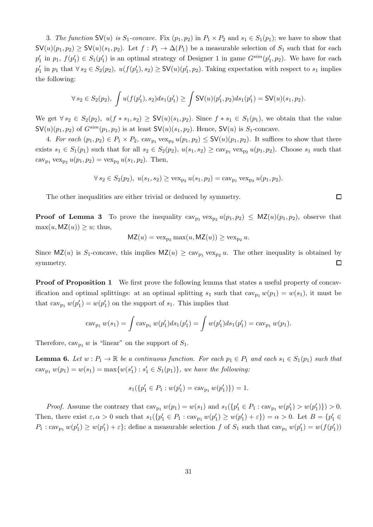3. *The function*  $\mathsf{SV}(u)$  *is*  $S_1$ -*concave*. Fix  $(p_1, p_2)$  in  $P_1 \times P_2$  and  $s_1 \in S_1(p_1)$ ; we have to show that  $\mathsf{SV}(u)(p_1, p_2) \geq \mathsf{SV}(u)(s_1, p_2)$ . Let  $f : P_1 \to \Delta(P_1)$  be a measurable selection of  $S_1$  such that for each  $p'_1$  in  $p_1, f(p'_1) \in S_1(p'_1)$  is an optimal strategy of Designer 1 in game  $G^{sim}(p'_1, p_2)$ . We have for each  $p'_1$  in  $p_1$  that  $\forall s_2 \in S_2(p_2)$ ,  $u(f(p'_1), s_2) \geq \mathsf{SV}(u)(p'_1, p_2)$ . Taking expectation with respect to  $s_1$  implies the following:

$$
\forall s_2 \in S_2(p_2), \ \int u(f(p'_1), s_2) ds_1(p'_1) \ge \int \mathsf{SV}(u)(p'_1, p_2) ds_1(p'_1) = \mathsf{SV}(u)(s_1, p_2).
$$

We get  $\forall s_2 \in S_2(p_2)$ ,  $u(f * s_1, s_2) \geq \mathsf{SV}(u)(s_1, p_2)$ . Since  $f * s_1 \in S_1(p_1)$ , we obtain that the value  $\mathsf{SV}(u)(p_1, p_2)$  of  $G^{sim}(p_1, p_2)$  is at least  $\mathsf{SV}(u)(s_1, p_2)$ . Hence,  $\mathsf{SV}(u)$  is  $S_1$ -concave.

4. For each  $(p_1, p_2) \in P_1 \times P_2$ ,  $\text{cav}_{p_1} \text{vex}_{p_2} u(p_1, p_2) \leq \mathsf{SV}(u)(p_1, p_2)$ . It suffices to show that there exists  $s_1 \in S_1(p_1)$  such that for all  $s_2 \in S_2(p_2)$ ,  $u(s_1, s_2) \geq cav_{p_1} vex_{p_2} u(p_1, p_2)$ . Choose  $s_1$  such that cav<sub>p1</sub> vex<sub>p2</sub>  $u(p_1, p_2) = \text{vex}_{p_2} u(s_1, p_2)$ . Then,

$$
\forall s_2 \in S_2(p_2), \ u(s_1, s_2) \ge \text{vex}_{p_2} \ u(s_1, p_2) = \text{cav}_{p_1} \ \text{vex}_{p_2} \ u(p_1, p_2).
$$

The other inequalities are either trivial or deduced by symmetry.

**Proof of Lemma 3** To prove the inequality  $cav_{p_1} vex_{p_2} u(p_1, p_2) \leq MZ(u)(p_1, p_2)$ , observe that  $\max(u, \mathsf{MZ}(u)) \geq u$ ; thus,

$$
MZ(u) = \text{vex}_{p_2} \max(u, MZ(u)) \geq \text{vex}_{p_2} u.
$$

Since  $MZ(u)$  is S<sub>1</sub>-concave, this implies  $MZ(u) \geq cav_{p_1} vex_{p_2} u$ . The other inequality is obtained by symmetry.  $\Box$ 

**Proof of Proposition 1** We first prove the following lemma that states a useful property of concavification and optimal splittings: at an optimal splitting  $s_1$  such that  $cav_{p_1} w(p_1) = w(s_1)$ , it must be that  $\text{cav}_{p_1} w(p'_1) = w(p'_1)$  on the support of  $s_1$ . This implies that

$$
cav_{p_1} w(s_1) = \int cav_{p_1} w(p'_1) ds_1(p'_1) = \int w(p'_1) ds_1(p'_1) = cav_{p_1} w(p_1).
$$

Therefore,  $cav_{p_1} w$  is "linear" on the support of  $S_1$ .

**Lemma 6.** Let  $w : P_1 \to \mathbb{R}$  be a continuous function. For each  $p_1 \in P_1$  and each  $s_1 \in S_1(p_1)$  such that  $cav_{p_1} w(p_1) = w(s_1) = \max\{w(s'_1) : s'_1 \in S_1(p_1)\},\$  we have the following:

$$
s_1(\{p'_1 \in P_1 : w(p'_1) = \text{cav}_{p_1} w(p'_1)\}) = 1.
$$

*Proof.* Assume the contrary that  $\text{cav}_{p_1} w(p_1) = w(s_1)$  and  $s_1(\{p'_1 \in P_1 : \text{cav}_{p_1} w(p'_1) > w(p'_1)\}) > 0$ . Then, there exist  $\varepsilon, \alpha > 0$  such that  $s_1(\{p'_1 \in P_1 : \text{cav}_{p_1} w(p'_1) \ge w(p'_1) + \varepsilon\}) = \alpha > 0$ . Let  $B = \{p'_1 \in P_1 : \text{cav}_{p_1} w(p'_1) \ge w(p'_1) + \varepsilon\}$  $P_1: \text{cav}_{p_1} w(p'_1) \geq w(p'_1) + \varepsilon$ ; define a measurable selection f of  $S_1$  such that  $\text{cav}_{p_1} w(p'_1) = w(f(p'_1))$ 

 $\Box$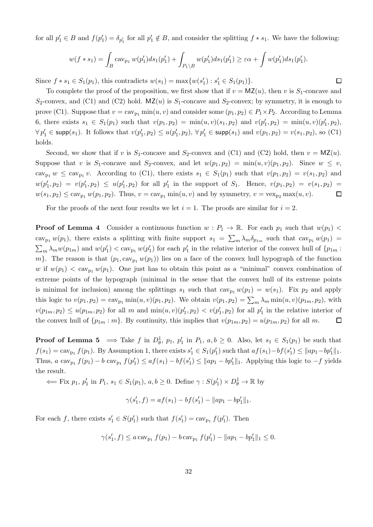for all  $p'_1 \in B$  and  $f(p'_1) = \delta_{p'_1}$  for all  $p'_1 \notin B$ , and consider the splitting  $f * s_1$ . We have the following:

$$
w(f * s_1) = \int_B \text{cav}_{p_1} w(p'_1) ds_1(p'_1) + \int_{P_1 \backslash B} w(p'_1) ds_1(p'_1) \geq \varepsilon \alpha + \int w(p'_1) ds_1(p'_1).
$$

 $\Box$ 

Since  $f * s_1 \in S_1(p_1)$ , this contradicts  $w(s_1) = \max\{w(s'_1) : s'_1 \in S_1(p_1)\}.$ 

To complete the proof of the proposition, we first show that if  $v = MZ(u)$ , then v is  $S_1$ -concave and  $S_2$ -convex, and (C1) and (C2) hold. MZ(u) is  $S_1$ -concave and  $S_2$ -convex; by symmetry, it is enough to prove (C1). Suppose that  $v = \text{cav}_{p_1} \min(u, v)$  and consider some  $(p_1, p_2) \in P_1 \times P_2$ . According to Lemma 6, there exists  $s_1 \in S_1(p_1)$  such that  $v(p_1, p_2) = \min(u, v)(s_1, p_2)$  and  $v(p'_1, p_2) = \min(u, v)(p'_1, p_2)$ ,  $\forall p'_1 \in \textsf{supp}(s_1)$ . It follows that  $v(p'_1, p_2) \leq u(p'_1, p_2)$ ,  $\forall p'_1 \in \textsf{supp}(s_1)$  and  $v(p_1, p_2) = v(s_1, p_2)$ , so (C1) holds.

Second, we show that if v is  $S_1$ -concave and  $S_2$ -convex and (C1) and (C2) hold, then  $v = MZ(u)$ . Suppose that v is S<sub>1</sub>-concave and S<sub>2</sub>-convex, and let  $w(p_1, p_2) = \min(u, v)(p_1, p_2)$ . Since  $w \leq v$ , cav<sub>p1</sub>  $w \leq cav_{p_1}v$ . According to (C1), there exists  $s_1 \in S_1(p_1)$  such that  $v(p_1, p_2) = v(s_1, p_2)$  and  $w(p'_1, p_2) = v(p'_1, p_2) \leq u(p'_1, p_2)$  for all  $p'_1$  in the support of  $S_1$ . Hence,  $v(p_1, p_2) = v(s_1, p_2)$  $w(s_1, p_2) \leq \text{cav}_{p_1} w(p_1, p_2)$ . Thus,  $v = \text{cav}_{p_1} \min(u, v)$  and by symmetry,  $v = \text{vex}_{p_2} \max(u, v)$ .  $\Box$ 

For the proofs of the next four results we let  $i = 1$ . The proofs are similar for  $i = 2$ .

**Proof of Lemma 4** Consider a continuous function  $w : P_1 \to \mathbb{R}$ . For each  $p_1$  such that  $w(p_1)$ cav<sub>p1</sub>  $w(p_1)$ , there exists a splitting with finite support  $s_1 = \sum_m \lambda_m \delta_{p_{1m}}$  such that  $cav_{p_1}w(p_1) =$  $\sum_m \lambda_m w(p_{1m})$  and  $w(p'_1) < \text{cav}_{p_1} w(p'_1)$  for each  $p'_1$  in the relative interior of the convex hull of  $\{p_{1m} :$ m}. The reason is that  $(p_1, \text{cav}_{p_1} w(p_1))$  lies on a face of the convex hull hypograph of the function w if  $w(p_1) < \alpha w_{p_1} w(p_1)$ . One just has to obtain this point as a "minimal" convex combination of extreme points of the hypograph (minimal in the sense that the convex hull of its extreme points is minimal for inclusion) among the splittings  $s_1$  such that  $cav_{p_1} w(p_1) = w(s_1)$ . Fix  $p_2$  and apply this logic to  $v(p_1, p_2) = \text{cav}_{p_1} \min(u, v)(p_1, p_2)$ . We obtain  $v(p_1, p_2) = \sum_m \lambda_m \min(u, v)(p_{1m}, p_2)$ , with  $v(p_{1m}, p_2) \le u(p_{1m}, p_2)$  for all m and  $\min(u, v)(p'_1, p_2) < v(p'_1, p_2)$  for all  $p'_1$  in the relative interior of the convex hull of  $\{p_{1m} : m\}$ . By continuity, this implies that  $v(p_{1m}, p_2) = u(p_{1m}, p_2)$  for all m.  $\Box$ 

**Proof of Lemma 5**  $\implies$  Take f in  $D^1_{\theta}$ ,  $p_1$ ,  $p'_1$  in  $P_1$ ,  $a, b \ge 0$ . Also, let  $s_1 \in S_1(p_1)$  be such that  $f(s_1) = \text{cav}_{p_1} f(p_1)$ . By Assumption 1, there exists  $s'_1 \in S_1(p'_1)$  such that  $af(s_1) - bf(s'_1) \leq ||ap_1 - bp'_1||_1$ . Thus, a cav<sub>p1</sub>  $f(p_1) - b$  cav<sub>p1</sub>  $f(p'_1) \le af(s_1) - bf(s'_1) \le ||ap_1 - bp'_1||_1$ . Applying this logic to  $-f$  yields the result.

 $\Leftarrow$  Fix  $p_1, p'_1$  in  $P_1, s_1 \in S_1(p_1), a, b \ge 0$ . Define  $\gamma : S(p'_1) \times D^1_{\theta} \to \mathbb{R}$  by

$$
\gamma(s'_1, f) = af(s_1) - bf(s'_1) - ||ap_1 - bp'_1||_1.
$$

For each f, there exists  $s'_1 \in S(p'_1)$  such that  $f(s'_1) = \text{cav}_{p_1} f(p'_1)$ . Then

$$
\gamma(s'_1, f) \le a \operatorname{cav}_{p_1} f(p_1) - b \operatorname{cav}_{p_1} f(p'_1) - ||ap_1 - bp'_1||_1 \le 0.
$$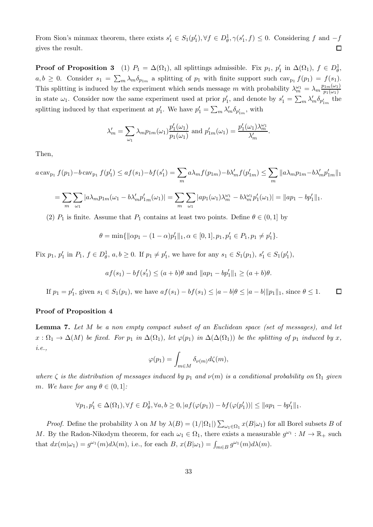From Sion's minmax theorem, there exists  $s'_1 \in S_1(p'_1), \forall f \in D^1_{\theta}, \gamma(s'_1, f) \leq 0$ . Considering f and  $-f$ gives the result.  $\Box$ 

**Proof of Proposition 3** (1)  $P_1 = \Delta(\Omega_1)$ , all splittings admissible. Fix  $p_1$ ,  $p'_1$  in  $\Delta(\Omega_1)$ ,  $f \in D^1_{\theta}$ ,  $a, b \geq 0$ . Consider  $s_1 = \sum_m \lambda_m \delta_{p_{1m}}$  a splitting of  $p_1$  with finite support such  $\text{cav}_{p_1} f(p_1) = f(s_1)$ . This splitting is induced by the experiment which sends message m with probability  $\lambda_m^{\omega_1} = \lambda_m \frac{p_{1m}(\omega_1)}{p_1(\omega_1)}$  $p_1(\omega_1)$ in state  $\omega_1$ . Consider now the same experiment used at prior  $p'_1$ , and denote by  $s'_1 = \sum_m \lambda'_m \delta_{p'_1_m}$  the splitting induced by that experiment at  $p'_1$ . We have  $p'_1 = \sum_m \lambda'_m \delta_{p'_1_m}$ , with

$$
\lambda'_m = \sum_{\omega_1} \lambda_m p_{1m}(\omega_1) \frac{p'_1(\omega_1)}{p_1(\omega_1)} \text{ and } p'_{1m}(\omega_1) = \frac{p'_1(\omega_1)\lambda_m^{\omega_1}}{\lambda'_m}.
$$

Then,

$$
a \operatorname{cav}_{p_1} f(p_1) - b \operatorname{cav}_{p_1} f(p'_1) \le af(s_1) - bf(s'_1) = \sum_m a\lambda_m f(p_{1m}) - b\lambda'_m f(p'_{1m}) \le \sum_m \|a\lambda_m p_{1m} - b\lambda'_m p'_{1m}\|_1
$$
  
= 
$$
\sum_m \sum_{\omega_1} |a\lambda_m p_{1m}(\omega_1 - b\lambda'_m p'_{1m}(\omega_1))| = \sum_m \sum_{\omega_1} |ap_1(\omega_1)\lambda_m^{\omega_1} - b\lambda_m^{\omega_1} p'_1(\omega_1)| = ||ap_1 - bp'_1||_1.
$$

(2)  $P_1$  is finite. Assume that  $P_1$  contains at least two points. Define  $\theta \in (0,1]$  by

$$
\theta = \min\{\|\alpha p_1 - (1 - \alpha)p'_1\|_1, \alpha \in [0, 1], p_1, p'_1 \in P_1, p_1 \neq p'_1\}.
$$

Fix  $p_1, p'_1$  in  $P_1, f \in D^1_{\theta}$ ,  $a, b \ge 0$ . If  $p_1 \ne p'_1$ , we have for any  $s_1 \in S_1(p_1)$ ,  $s'_1 \in S_1(p'_1)$ ,

$$
af(s_1) - bf(s'_1) \le (a+b)\theta
$$
 and  $||ap_1 - bp'_1||_1 \ge (a+b)\theta$ .

 $\Box$ If  $p_1 = p'_1$ , given  $s_1 \in S_1(p_1)$ , we have  $af(s_1) - bf(s_1) \leq |a-b|\theta \leq |a-b|\|p_1\|_1$ , since  $\theta \leq 1$ .

#### Proof of Proposition 4

Lemma 7. *Let* M *be a non empty compact subset of an Euclidean space (set of messages), and let*  $x: \Omega_1 \to \Delta(M)$  *be fixed. For*  $p_1$  *in*  $\Delta(\Omega_1)$ *, let*  $\varphi(p_1)$  *in*  $\Delta(\Delta(\Omega_1))$  *be the splitting of*  $p_1$  *induced by* x, *i.e.,*

$$
\varphi(p_1) = \int_{m \in M} \delta_{\nu(m)} d\zeta(m),
$$

*where*  $\zeta$  *is the distribution of messages induced by*  $p_1$  *and*  $\nu(m)$  *is a conditional probability on*  $\Omega_1$  *given* m. We have for any  $\theta \in (0,1]$ :

$$
\forall p_1, p'_1 \in \Delta(\Omega_1), \forall f \in D^1_\theta, \forall a, b \ge 0, |af(\varphi(p_1)) - bf(\varphi(p'_1))| \le ||ap_1 - bp'_1||_1.
$$

*Proof.* Define the probability  $\lambda$  on M by  $\lambda(B) = (1/|\Omega_1|) \sum_{\omega_1 \in \Omega_1} x(B|\omega_1)$  for all Borel subsets B of M. By the Radon-Nikodym theorem, for each  $\omega_1 \in \Omega_1$ , there exists a measurable  $g^{\omega_1} : M \to \mathbb{R}_+$  such that  $dx(m|\omega_1) = g^{\omega_1}(m)d\lambda(m)$ , i.e., for each  $B$ ,  $x(B|\omega_1) = \int_{m \in B} g^{\omega_1}(m)d\lambda(m)$ .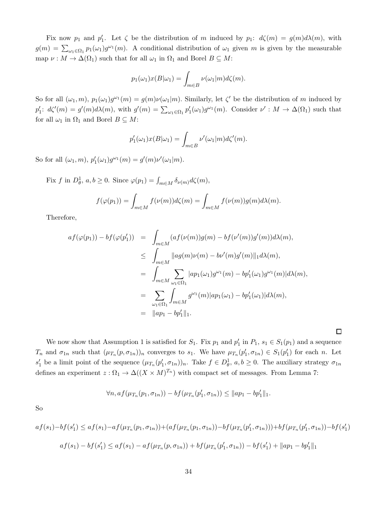Fix now  $p_1$  and  $p'_1$ . Let  $\zeta$  be the distribution of m induced by  $p_1: d\zeta(m) = g(m)d\lambda(m)$ , with  $g(m) = \sum_{\omega_1 \in \Omega_1} p_1(\omega_1) g^{\omega_1}(m)$ . A conditional distribution of  $\omega_1$  given m is given by the measurable map  $\nu : M \to \Delta(\Omega_1)$  such that for all  $\omega_1$  in  $\Omega_1$  and Borel  $B \subseteq M$ :

$$
p_1(\omega_1)x(B|\omega_1) = \int_{m \in B} \nu(\omega_1|m) d\zeta(m).
$$

So for all  $(\omega_1, m)$ ,  $p_1(\omega_1)g^{\omega_1}(m) = g(m)\nu(\omega_1|m)$ . Similarly, let  $\zeta'$  be the distribution of m induced by  $p'_1: d\zeta'(m) = g'(m)d\lambda(m)$ , with  $g'(m) = \sum_{\omega_1 \in \Omega_1} p'_1(\omega_1)g^{\omega_1}(m)$ . Consider  $\nu': M \to \Delta(\Omega_1)$  such that for all  $\omega_1$  in  $\Omega_1$  and Borel  $B \subseteq M$ :

$$
p'_1(\omega_1)x(B|\omega_1) = \int_{m \in B} \nu'(\omega_1|m) d\zeta'(m).
$$

So for all  $(\omega_1, m)$ ,  $p'_1(\omega_1)g^{\omega_1}(m) = g'(m)\nu'(\omega_1|m)$ .

Fix f in  $D^1_{\theta}$ ,  $a, b \ge 0$ . Since  $\varphi(p_1) = \int_{m \in M} \delta_{\nu(m)} d\zeta(m)$ ,

$$
f(\varphi(p_1)) = \int_{m \in M} f(\nu(m))d\zeta(m) = \int_{m \in M} f(\nu(m))g(m)d\lambda(m).
$$

Therefore,

$$
af(\varphi(p_1)) - bf(\varphi(p'_1)) = \int_{m \in M} (af(\nu(m))g(m) - bf(\nu'(m))g'(m))d\lambda(m),
$$
  
\n
$$
\leq \int_{m \in M} ||ag(m)\nu(m) - b\nu'(m)g'(m)||_1 d\lambda(m),
$$
  
\n
$$
= \int_{m \in M} \sum_{\omega_1 \in \Omega_1} |ap_1(\omega_1)g^{\omega_1}(m) - bp'_1(\omega_1)g^{\omega_1}(m)|d\lambda(m),
$$
  
\n
$$
= \sum_{\omega_1 \in \Omega_1} \int_{m \in M} g^{\omega_1}(m)|ap_1(\omega_1) - bp'_1(\omega_1)|d\lambda(m),
$$
  
\n
$$
= ||ap_1 - bp'_1||_1.
$$

 $\Box$ 

We now show that Assumption 1 is satisfied for  $S_1$ . Fix  $p_1$  and  $p'_1$  in  $P_1$ ,  $s_1 \in S_1(p_1)$  and a sequence  $T_n$  and  $\sigma_{1n}$  such that  $(\mu_{T_n}(p, \sigma_{1n}))_n$  converges to  $s_1$ . We have  $\mu_{T_n}(p'_1, \sigma_{1n}) \in S_1(p'_1)$  for each n. Let  $s'_1$  be a limit point of the sequence  $(\mu_{T_n}(p'_1, \sigma_{1n}))_n$ . Take  $f \in D^1_\theta$ ,  $a, b \ge 0$ . The auxiliary strategy  $\sigma_{1n}$ defines an experiment  $z : \Omega_1 \to \Delta((X \times M)^{T_n})$  with compact set of messages. From Lemma 7:

$$
\forall n, af(\mu_{T_n}(p_1, \sigma_{1n})) - bf(\mu_{T_n}(p'_1, \sigma_{1n})) \leq ||ap_1 - bp'_1||_1.
$$

So

$$
af(s_1) - bf(s'_1) \le af(s_1) - af(\mu_{T_n}(p_1, \sigma_{1n})) + (af(\mu_{T_n}(p_1, \sigma_{1n})) - bf(\mu_{T_n}(p'_1, \sigma_{1n}))) + bf(\mu_{T_n}(p'_1, \sigma_{1n})) - bf(s'_1)
$$
  

$$
af(s_1) - bf(s'_1) \le af(s_1) - af(\mu_{T_n}(p, \sigma_{1n})) + bf(\mu_{T_n}(p'_1, \sigma_{1n})) - bf(s'_1) + ||ap_1 - bp'_1||_1
$$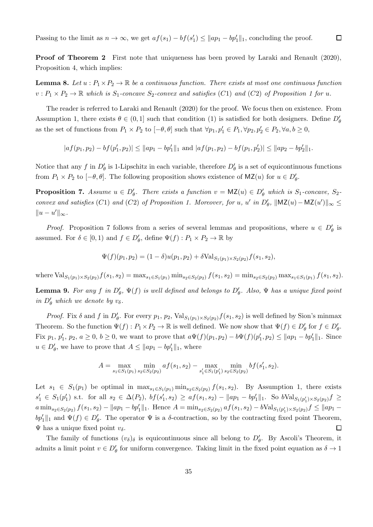Passing to the limit as  $n \to \infty$ , we get  $af(s_1) - bf(s'_1) \le ||ap_1 - bp'_1||_1$ , concluding the proof.

Proof of Theorem 2 First note that uniqueness has been proved by Laraki and Renault (2020), Proposition 4, which implies:

**Lemma 8.** Let  $u : P_1 \times P_2 \to \mathbb{R}$  be a continuous function. There exists at most one continuous function  $v: P_1 \times P_2 \to \mathbb{R}$  which is  $S_1$ -concave  $S_2$ -convex and satisfies (C1) and (C2) of Proposition 1 for u.

The reader is referred to Laraki and Renault (2020) for the proof. We focus then on existence. From Assumption 1, there exists  $\theta \in (0,1]$  such that condition (1) is satisfied for both designers. Define  $D'_{\theta}$ as the set of functions from  $P_1 \times P_2$  to  $[-\theta, \theta]$  such that  $\forall p_1, p'_1 \in P_1, \forall p_2, p'_2 \in P_2, \forall a, b \ge 0$ ,

 $|af(p_1, p_2) - bf(p'_1, p_2)| \le ||ap_1 - bp'_1||_1$  and  $|af(p_1, p_2) - bf(p_1, p'_2)| \le ||ap_2 - bp'_2||_1$ .

Notice that any f in  $D'_\theta$  is 1-Lipschitz in each variable, therefore  $D'_\theta$  is a set of equicontinuous functions from  $P_1 \times P_2$  to  $[-\theta, \theta]$ . The following proposition shows existence of  $\mathsf{MZ}(u)$  for  $u \in D'_\theta$ .

**Proposition 7.** Assume  $u \in D'_\theta$ . There exists a function  $v = MZ(u) \in D'_\theta$  which is  $S_1$ -concave,  $S_2$ *convex and satisfies*  $(C1)$  *and*  $(C2)$  *of Proposition 1. Moreover, for* u, u' *in*  $D'_{\theta}$ ,  $||$ MZ $(u)$  – MZ $(u')||_{\infty} \le$  $||u - u'||_{\infty}$ .

*Proof.* Proposition 7 follows from a series of several lemmas and propositions, where  $u \in D'_\theta$  is assumed. For  $\delta \in [0,1)$  and  $f \in D'_{\theta}$ , define  $\Psi(f) : P_1 \times P_2 \to \mathbb{R}$  by

$$
\Psi(f)(p_1, p_2) = (1 - \delta)u(p_1, p_2) + \delta \text{Val}_{S_1(p_1) \times S_2(p_2)} f(s_1, s_2),
$$

where  $\text{Val}_{S_1(p_1)\times S_2(p_2)}f(s_1,s_2) = \max_{s_1\in S_1(p_1)}\min_{s_2\in S_2(p_2)}f(s_1,s_2) = \min_{s_2\in S_2(p_2)}\max_{s_1\in S_1(p_1)}f(s_1,s_2).$ 

**Lemma 9.** For any  $f$  in  $D'_\theta$ ,  $\Psi(f)$  is well defined and belongs to  $D'_\theta$ . Also,  $\Psi$  has a unique fixed point *in*  $D'_\theta$  *which we denote by*  $v_\delta$ *.* 

*Proof.* Fix  $\delta$  and  $f$  in  $D'_\theta$ . For every  $p_1$ ,  $p_2$ ,  $\text{Val}_{S_1(p_1)\times S_2(p_2)} f(s_1, s_2)$  is well defined by Sion's minmax Theorem. So the function  $\Psi(f) : P_1 \times P_2 \to \mathbb{R}$  is well defined. We now show that  $\Psi(f) \in D'_\theta$  for  $f \in D'_\theta$ . Fix  $p_1, p'_1, p_2, a \ge 0, b \ge 0$ , we want to prove that  $a\Psi(f)(p_1, p_2) - b\Psi(f)(p'_1, p_2) \le ||ap_1 - bp'_1||_1$ . Since  $u \in D'_{\theta}$ , we have to prove that  $A \leq ||ap_1 - bp'_1||_1$ , where

$$
A = \max_{s_1 \in S_1(p_1)} \min_{s_2 \in S_2(p_2)} af(s_1, s_2) - \max_{s'_1 \in S_1(p'_1)} \min_{s_2 \in S_2(p_2)} bf(s'_1, s_2).
$$

Let  $s_1 \in S_1(p_1)$  be optimal in  $\max_{s_1 \in S_1(p_1)} \min_{s_2 \in S_2(p_2)} f(s_1, s_2)$ . By Assumption 1, there exists  $s'_1 \in S_1(p'_1)$  s.t. for all  $s_2 \in \Delta(P_2)$ ,  $bf(s'_1, s_2) \ge af(s_1, s_2) - ||ap_1 - bp'_1||_1$ . So  $bVal_{S_1(p'_1) \times S_2(p_2)} f \ge$  $a \min_{s_2 \in S_2(p_2)} f(s_1, s_2) - ||ap_1 - bp'_1||_1$ . Hence  $A = \min_{s_2 \in S_2(p_2)} af(s_1, s_2) - bVal_{S_1(p'_1) \times S_2(p_2)} f \le ||ap_1 - b||_1$  $bp'_1\|_1$  and  $\Psi(f) \in D'_\theta$ . The operator  $\Psi$  is a  $\delta$ -contraction, so by the contracting fixed point Theorem,  $\Psi$  has a unique fixed point  $v_{\delta}$ .  $\Box$ 

The family of functions  $(v_{\delta})_{\delta}$  is equicontinuous since all belong to  $D'_{\theta}$ . By Ascoli's Theorem, it admits a limit point  $v \in D'_\theta$  for uniform convergence. Taking limit in the fixed point equation as  $\delta \to 1$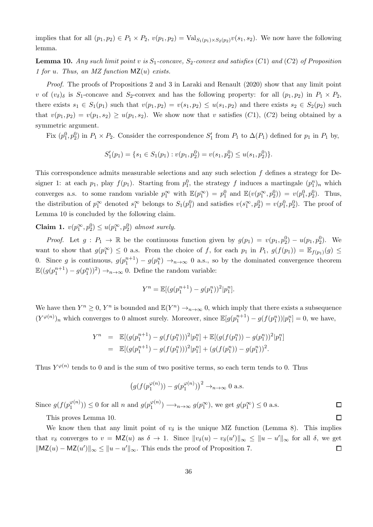implies that for all  $(p_1, p_2) \in P_1 \times P_2$ ,  $v(p_1, p_2) = \text{Val}_{S_1(p_1) \times S_2(p_2)} v(s_1, s_2)$ . We now have the following lemma.

**Lemma 10.** Any such limit point v is  $S_1$ -concave,  $S_2$ -convex and satisfies (C1) and (C2) of Proposition *1 for* u*. Thus, an MZ function* MZ(u) *exists.*

*Proof.* The proofs of Propositions 2 and 3 in Laraki and Renault (2020) show that any limit point v of  $(v_{\delta})_{\delta}$  is S<sub>1</sub>-concave and S<sub>2</sub>-convex and has the following property: for all  $(p_1, p_2)$  in  $P_1 \times P_2$ , there exists  $s_1 \in S_1(p_1)$  such that  $v(p_1, p_2) = v(s_1, p_2) \leq u(s_1, p_2)$  and there exists  $s_2 \in S_2(p_2)$  such that  $v(p_1, p_2) = v(p_1, s_2) \geq u(p_1, s_2)$ . We show now that v satisfies (C1), (C2) being obtained by a symmetric argument.

Fix  $(p_1^0, p_2^0)$  in  $P_1 \times P_2$ . Consider the correspondence  $S'_1$  from  $P_1$  to  $\Delta(P_1)$  defined for  $p_1$  in  $P_1$  by,

$$
S'_1(p_1) = \{s_1 \in S_1(p_1) : v(p_1, p_2^0) = v(s_1, p_2^0) \le u(s_1, p_2^0)\}.
$$

This correspondence admits measurable selections and any such selection f defines a strategy for Designer 1: at each  $p_1$ , play  $f(p_1)$ . Starting from  $p_1^0$ , the strategy f induces a martingale  $(p_1^n)_n$  which converges a.s. to some random variable  $p_1^{\infty}$  with  $\mathbb{E}(p_1^{\infty}) = p_1^0$  and  $\mathbb{E}(v(p_1^{\infty}, p_2^0)) = v(p_1^0, p_2^0)$ . Thus, the distribution of  $p_1^{\infty}$  denoted  $s_1^{\infty}$  belongs to  $S_1(p_1^0)$  and satisfies  $v(s_1^{\infty}, p_2^0) = v(p_1^0, p_2^0)$ . The proof of Lemma 10 is concluded by the following claim.

Claim 1.  $v(p_1^{\infty}, p_2^0) \le u(p_1^{\infty}, p_2^0)$  almost surely.

*Proof.* Let  $g: P_1 \to \mathbb{R}$  be the continuous function given by  $g(p_1) = v(p_1, p_2^0) - u(p_1, p_2^0)$ . We want to show that  $g(p_1^{\infty}) \leq 0$  a.s. From the choice of f, for each  $p_1$  in  $P_1$ ,  $g(f(p_1)) = \mathbb{E}_{f(p_1)}(g) \leq$ 0. Since g is continuous,  $g(p_1^{n+1}) - g(p_1^n) \rightarrow_{n \to \infty} 0$  a.s., so by the dominated convergence theorem  $\mathbb{E}((g(p_1^{n+1})-g(p_1^n))^2) \rightarrow_{n\to\infty} 0$ . Define the random variable:

$$
Y^{n} = \mathbb{E}[(g(p_1^{n+1}) - g(p_1^{n}))^{2}|p_1^{n}].
$$

We have then  $Y^n \geq 0$ ,  $Y^n$  is bounded and  $\mathbb{E}(Y^n) \to_{n \to \infty} 0$ , which imply that there exists a subsequence  $(Y^{\varphi(n)})_n$  which converges to 0 almost surely. Moreover, since  $\mathbb{E}[g(p_1^{n+1}) - g(f(p_1^n))|p_1^n] = 0$ , we have,

$$
Y^n = \mathbb{E}[(g(p_1^{n+1}) - g(f(p_1^n)))^2 | p_1^n] + \mathbb{E}[(g(f(p_1^n)) - g(p_1^n))^2 | p_1^n]
$$
  
= 
$$
\mathbb{E}[(g(p_1^{n+1}) - g(f(p_1^n)))^2 | p_1^n] + (g(f(p_1^n)) - g(p_1^n))^2).
$$

Thus  $Y^{\varphi(n)}$  tends to 0 and is the sum of two positive terms, so each term tends to 0. Thus

$$
\left(g(f(p_1^{\varphi(n)})) - g(p_1^{\varphi(n)})\right)^2 \to_{n \to \infty} 0 \text{ a.s.}
$$

 $\Box$  $\Box$ 

Since  $g(f(p_1^{\varphi(n)})$  $\binom{\varphi(n)}{1}$   $\leq 0$  for all *n* and  $g(p_1^{\varphi(n)})$  $g(p_1^{\infty}) \longrightarrow_{n \to \infty} g(p_1^{\infty})$ , we get  $g(p_1^{\infty}) \leq 0$  a.s.

This proves Lemma 10.

We know then that any limit point of  $v_{\delta}$  is the unique MZ function (Lemma 8). This implies that  $v_{\delta}$  converges to  $v = \mathsf{MZ}(u)$  as  $\delta \to 1$ . Since  $||v_{\delta}(u) - v_{\delta}(u')||_{\infty} \le ||u - u'||_{\infty}$  for all  $\delta$ , we get  $\|\mathsf{MZ}(u) - \mathsf{MZ}(u')\|_{\infty} \le \|u - u'\|_{\infty}$ . This ends the proof of Proposition 7.  $\Box$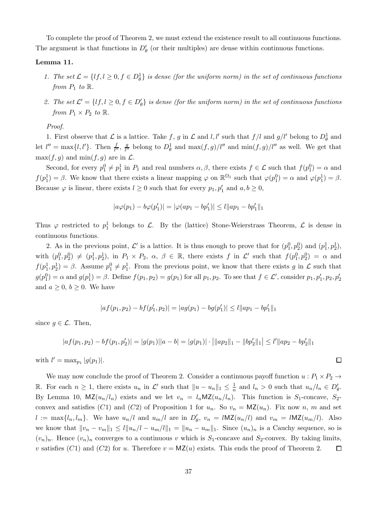To complete the proof of Theorem 2, we must extend the existence result to all continuous functions. The argument is that functions in  $D'_{\theta}$  (or their multiples) are dense within continuous functions.

#### Lemma 11.

- 1. The set  $\mathcal{L} = \{lf, l \geq 0, f \in D^1_{\theta}\}\$ is dense (for the uniform norm) in the set of continuous functions *from*  $P_1$  *to*  $\mathbb{R}$ *.*
- 2. The set  $\mathcal{L}' = \{lf, l \geq 0, f \in D'_\theta\}$  is dense (for the uniform norm) in the set of continuous functions *from*  $P_1 \times P_2$  *to*  $\mathbb{R}$ *.*

*Proof.*

1. First observe that  $\mathcal L$  is a lattice. Take f, g in  $\mathcal L$  and l, l' such that  $f/l$  and  $g/l'$  belong to  $D^1_\theta$  and let  $l'' = \max\{l, l'\}$ . Then  $\frac{f}{l''}, \frac{g}{l''}$  $\frac{g}{l''}$  belong to  $D^1_\theta$  and  $\max(f, g)/l''$  and  $\min(f, g)/l''$  as well. We get that  $\max(f, g)$  and  $\min(f, g)$  are in  $\mathcal{L}$ .

Second, for every  $p_1^0 \neq p_1^1$  in  $P_1$  and real numbers  $\alpha, \beta$ , there exists  $f \in \mathcal{L}$  such that  $f(p_1^0) = \alpha$  and  $f(p_1^1) = \beta$ . We know that there exists a linear mapping  $\varphi$  on  $\mathbb{R}^{\Omega_1}$  such that  $\varphi(p_1^0) = \alpha$  and  $\varphi(p_1^1) = \beta$ . Because  $\varphi$  is linear, there exists  $l \geq 0$  such that for every  $p_1, p'_1$  and  $a, b \geq 0$ ,

$$
|a\varphi(p_1) - b\varphi(p'_1)| = |\varphi(ap_1 - bp'_1)| \le l ||ap_1 - bp'_1||_1
$$

Thus  $\varphi$  restricted to  $p_1^1$  belongs to  $\mathcal{L}$ . By the (lattice) Stone-Weierstrass Theorem,  $\mathcal{L}$  is dense in continuous functions.

2. As in the previous point,  $\mathcal{L}'$  is a lattice. It is thus enough to prove that for  $(p_1^0, p_2^0)$  and  $(p_1^1, p_2^1)$ , with  $(p_1^0, p_2^0) \neq (p_1^1, p_2^1)$ , in  $P_1 \times P_2$ ,  $\alpha$ ,  $\beta \in \mathbb{R}$ , there exists f in  $\mathcal{L}'$  such that  $f(p_1^0, p_2^0) = \alpha$  and  $f(p_1^1, p_2^1) = \beta$ . Assume  $p_1^0 \neq p_1^1$ . From the previous point, we know that there exists g in  $\mathcal L$  such that  $g(p_1^0) = \alpha$  and  $g(p_1^1) = \beta$ . Define  $f(p_1, p_2) = g(p_1)$  for all  $p_1, p_2$ . To see that  $f \in \mathcal{L}'$ , consider  $p_1, p'_1, p_2, p'_2$ and  $a \geq 0, b \geq 0$ . We have

$$
|af(p_1, p_2) - bf(p'_1, p_2)| = |ag(p_1) - bg(p'_1)| \leq l ||ap_1 - bp'_1||_1
$$

since  $g \in \mathcal{L}$ . Then,

$$
|af(p_1, p_2) - bf(p_1, p'_2)| = |g(p_1)||a - b| = |g(p_1)| \cdot ||ap_2||_1 - ||bp'_2||_1 \le l'||ap_2 - bp'_2||_1
$$

 $\Box$ 

with  $l' = \max_{p_1} |g(p_1)|$ .

We may now conclude the proof of Theorem 2. Consider a continuous payoff function  $u : P_1 \times P_2 \rightarrow$ R. For each  $n \geq 1$ , there exists  $u_n$  in  $\mathcal{L}'$  such that  $||u - u_n||_1 \leq \frac{1}{n}$  and  $l_n > 0$  such that  $u_n/l_n \in D'_\theta$ . By Lemma 10,  $\mathsf{MZ}(u_n/l_n)$  exists and we let  $v_n = l_n \mathsf{MZ}(u_n/l_n)$ . This function is  $S_1$ -concave,  $S_2$ convex and satisfies (C1) and (C2) of Proposition 1 for  $u_n$ . So  $v_n = MZ(u_n)$ . Fix now n, m and set  $l := \max\{l_n, l_m\}$ . We have  $u_n/l$  and  $u_m/l$  are in  $D'_\theta$ ,  $v_n = l\mathsf{MZ}(u_n/l)$  and  $v_m = l\mathsf{MZ}(u_m/l)$ . Also we know that  $||v_n - v_m||_1 \leq l||u_n/l - u_m/l||_1 = ||u_n - u_m||_1$ . Since  $(u_n)_n$  is a Cauchy sequence, so is  $(v_n)_n$ . Hence  $(v_n)_n$  converges to a continuous v which is  $S_1$ -concave and  $S_2$ -convex. By taking limits, v satisfies (C1) and (C2) for u. Therefore  $v = MZ(u)$  exists. This ends the proof of Theorem 2.  $\Box$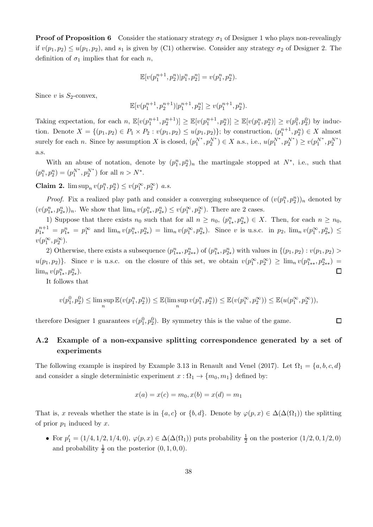**Proof of Proposition 6** Consider the stationary strategy  $\sigma_1$  of Designer 1 who plays non-revealingly if  $v(p_1, p_2) \le u(p_1, p_2)$ , and  $s_1$  is given by (C1) otherwise. Consider any strategy  $\sigma_2$  of Designer 2. The definition of  $\sigma_1$  implies that for each n,

$$
\mathbb{E}[v(p_1^{n+1}, p_2^n)|p_1^n, p_2^n] = v(p_1^n, p_2^n).
$$

Since v is  $S_2$ -convex,

$$
\mathbb{E}[v(p_1^{n+1}, p_2^{n+1})|p_1^{n+1}, p_2^n] \ge v(p_1^{n+1}, p_2^n).
$$

Taking expectation, for each n,  $\mathbb{E}[v(p_1^{n+1}, p_2^{n+1})] \ge \mathbb{E}[v(p_1^{n+1}, p_2^{n})] \ge \mathbb{E}[v(p_1^{n}, p_2^{n})] \ge v(p_1^{0}, p_2^{0})$  by induction. Denote  $X = \{(p_1, p_2) \in P_1 \times P_2 : v(p_1, p_2) \leq u(p_1, p_2)\}\;$  by construction,  $(p_1^{n+1}, p_2^n) \in X$  almost surely for each *n*. Since by assumption X is closed,  $(p_1^{N^*}, p_2^{N^*}) \in X$  a.s., i.e.,  $u(p_1^{N^*}, p_2^{N^*}) \ge v(p_1^{N^*}, p_2^{N^*})$ a.s.

With an abuse of notation, denote by  $(p_1^n, p_2^n)_n$  the martingale stopped at  $N^*$ , i.e., such that  $(p_1^n, p_2^n) = (p_1^{N^*}, p_2^{N^*})$  for all  $n > N^*$ .

**Claim 2.**  $\limsup_n v(p_1^n, p_2^n) \le v(p_1^{\infty}, p_2^{\infty})$  *a.s.* 

*Proof.* Fix a realized play path and consider a converging subsequence of  $(v(p_1^n, p_2^n))_n$  denoted by  $(v(p_{1*}^n, p_{2*}^n))_n$ . We show that  $\lim_n v(p_{1*}^n, p_{2*}^n) \le v(p_1^{\infty}, p_2^{\infty})$ . There are 2 cases.

1) Suppose that there exists  $n_0$  such that for all  $n \ge n_0$ ,  $(p_{1*}^n, p_{2*}^n) \in X$ . Then, for each  $n \ge n_0$ ,  $p_{1*}^{n+1} = p_{1*}^n = p_1^{\infty}$  and  $\lim_n v(p_{1*}^n, p_{2*}^n) = \lim_n v(p_1^{\infty}, p_{2*}^n)$ . Since v is u.s.c. in  $p_2$ ,  $\lim_n v(p_1^{\infty}, p_{2*}^n) \le$  $v(p_1^{\infty},p_2^{\infty}).$ 

2) Otherwise, there exists a subsequence  $(p_{1**}^n, p_{2**}^n)$  of  $(p_{1*}^n, p_{2*}^n)$  with values in  $\{(p_1, p_2) : v(p_1, p_2) >$  $u(p_1, p_2)$ . Since v is u.s.c. on the closure of this set, we obtain  $v(p_1^{\infty}, p_2^{\infty}) \ge \lim_n v(p_{1**}^n, p_{2**}^n) =$  $\lim_{n} v(p_{1*}^n, p_{2*}^n).$  $\Box$ 

It follows that

$$
v(p_1^0,p_2^0)\leq \limsup_n\mathbb{E}(v(p_1^n,p_2^n))\leq \mathbb{E}(\limsup_n v(p_1^n,p_2^n))\leq \mathbb{E}(v(p_1^\infty,p_2^\infty))\leq \mathbb{E}(u(p_1^\infty,p_2^\infty)),
$$

therefore Designer 1 guarantees  $v(p_1^0, p_2^0)$ . By symmetry this is the value of the game.

# $\Box$

# A.2 Example of a non-expansive splitting correspondence generated by a set of experiments

The following example is inspired by Example 3.13 in Renault and Venel (2017). Let  $\Omega_1 = \{a, b, c, d\}$ and consider a single deterministic experiment  $x : \Omega_1 \to \{m_0, m_1\}$  defined by:

$$
x(a) = x(c) = m_0, x(b) = x(d) = m_1
$$

That is, x reveals whether the state is in  $\{a, c\}$  or  $\{b, d\}$ . Denote by  $\varphi(p, x) \in \Delta(\Delta(\Omega_1))$  the splitting of prior  $p_1$  induced by x.

• For  $p'_1 = (1/4, 1/2, 1/4, 0), \varphi(p, x) \in \Delta(\Delta(\Omega_1))$  puts probability  $\frac{1}{2}$  on the posterior  $(1/2, 0, 1/2, 0)$ and probability  $\frac{1}{2}$  on the posterior  $(0, 1, 0, 0)$ .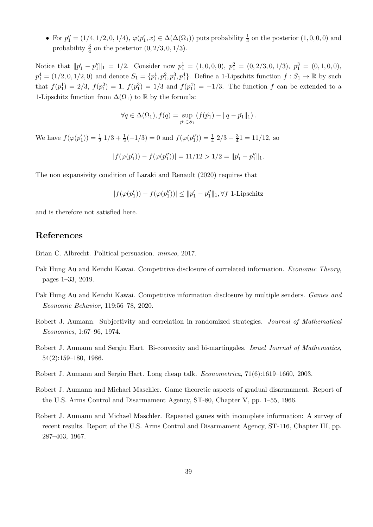• For  $p''_1 = (1/4, 1/2, 0, 1/4), \varphi(p'_1, x) \in \Delta(\Delta(\Omega_1))$  puts probability  $\frac{1}{4}$  on the posterior  $(1, 0, 0, 0)$  and probability  $\frac{3}{4}$  on the posterior  $(0, 2/3, 0, 1/3)$ .

Notice that  $||p'_1 - p''_1||_1 = 1/2$ . Consider now  $p_1^1 = (1, 0, 0, 0), p_1^2 = (0, 2/3, 0, 1/3), p_1^3 = (0, 1, 0, 0),$  $p_1^4 = (1/2, 0, 1/2, 0)$  and denote  $S_1 = \{p_1^1, p_1^2, p_1^3, p_1^4\}$ . Define a 1-Lipschitz function  $f : S_1 \to \mathbb{R}$  by such that  $f(p_1^1) = 2/3$ ,  $f(p_1^2) = 1$ ,  $f(p_1^3) = 1/3$  and  $f(p_1^4) = -1/3$ . The function f can be extended to a 1-Lipschitz function from  $\Delta(\Omega_1)$  to R by the formula:

$$
\forall q \in \Delta(\Omega_1), f(q) = \sup_{\hat{p}_1 \in S_1} (f(\hat{p}_1) - ||q - \hat{p}_1||_1).
$$

We have  $f(\varphi(p'_1)) = \frac{1}{2} 1/3 + \frac{1}{2}(-1/3) = 0$  and  $f(\varphi(p''_1)) = \frac{1}{4} 2/3 + \frac{3}{4}1 = 11/12$ , so

$$
|f(\varphi(p'_1)) - f(\varphi(p''_1))| = 11/12 > 1/2 = ||p'_1 - p''_1||_1.
$$

The non expansivity condition of Laraki and Renault (2020) requires that

$$
|f(\varphi(p'_1)) - f(\varphi(p''_1))| \le ||p'_1 - p''_1||_1, \forall f \text{ 1-Lipschitz}
$$

and is therefore not satisfied here.

# References

Brian C. Albrecht. Political persuasion. *mimeo*, 2017.

- Pak Hung Au and Keiichi Kawai. Competitive disclosure of correlated information. *Economic Theory*, pages 1–33, 2019.
- Pak Hung Au and Keiichi Kawai. Competitive information disclosure by multiple senders. *Games and Economic Behavior*, 119:56–78, 2020.
- Robert J. Aumann. Subjectivity and correlation in randomized strategies. *Journal of Mathematical Economics*, 1:67–96, 1974.
- Robert J. Aumann and Sergiu Hart. Bi-convexity and bi-martingales. *Israel Journal of Mathematics*, 54(2):159–180, 1986.
- Robert J. Aumann and Sergiu Hart. Long cheap talk. *Econometrica*, 71(6):1619–1660, 2003.
- Robert J. Aumann and Michael Maschler. Game theoretic aspects of gradual disarmament. Report of the U.S. Arms Control and Disarmament Agency, ST-80, Chapter V, pp. 1–55, 1966.
- Robert J. Aumann and Michael Maschler. Repeated games with incomplete information: A survey of recent results. Report of the U.S. Arms Control and Disarmament Agency, ST-116, Chapter III, pp. 287–403, 1967.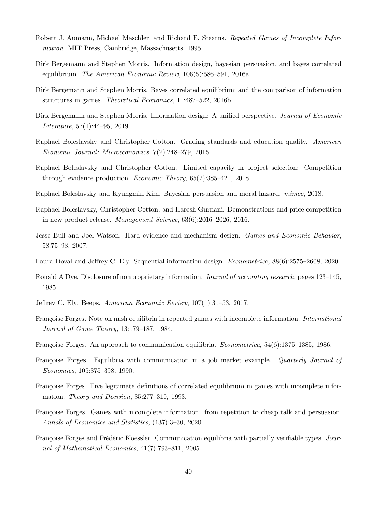- Robert J. Aumann, Michael Maschler, and Richard E. Stearns. *Repeated Games of Incomplete Information*. MIT Press, Cambridge, Massachusetts, 1995.
- Dirk Bergemann and Stephen Morris. Information design, bayesian persuasion, and bayes correlated equilibrium. *The American Economic Review*, 106(5):586–591, 2016a.
- Dirk Bergemann and Stephen Morris. Bayes correlated equilibrium and the comparison of information structures in games. *Theoretical Economics*, 11:487–522, 2016b.
- Dirk Bergemann and Stephen Morris. Information design: A unified perspective. *Journal of Economic Literature*, 57(1):44–95, 2019.
- Raphael Boleslavsky and Christopher Cotton. Grading standards and education quality. *American Economic Journal: Microeconomics*, 7(2):248–279, 2015.
- Raphael Boleslavsky and Christopher Cotton. Limited capacity in project selection: Competition through evidence production. *Economic Theory*, 65(2):385–421, 2018.
- Raphael Boleslavsky and Kyungmin Kim. Bayesian persuasion and moral hazard. *mimeo*, 2018.
- Raphael Boleslavsky, Christopher Cotton, and Haresh Gurnani. Demonstrations and price competition in new product release. *Management Science*, 63(6):2016–2026, 2016.
- Jesse Bull and Joel Watson. Hard evidence and mechanism design. *Games and Economic Behavior*, 58:75–93, 2007.
- Laura Doval and Jeffrey C. Ely. Sequential information design. *Econometrica*, 88(6):2575–2608, 2020.
- Ronald A Dye. Disclosure of nonproprietary information. *Journal of accounting research*, pages 123–145, 1985.
- Jeffrey C. Ely. Beeps. *American Economic Review*, 107(1):31–53, 2017.
- Françoise Forges. Note on nash equilibria in repeated games with incomplete information. *International Journal of Game Theory*, 13:179–187, 1984.
- Françoise Forges. An approach to communication equilibria. *Econometrica*, 54(6):1375–1385, 1986.
- Françoise Forges. Equilibria with communication in a job market example. *Quarterly Journal of Economics*, 105:375–398, 1990.
- Françoise Forges. Five legitimate definitions of correlated equilibrium in games with incomplete information. *Theory and Decision*, 35:277–310, 1993.
- Françoise Forges. Games with incomplete information: from repetition to cheap talk and persuasion. *Annals of Economics and Statistics*, (137):3–30, 2020.
- Françoise Forges and Frédéric Koessler. Communication equilibria with partially verifiable types. *Journal of Mathematical Economics*, 41(7):793–811, 2005.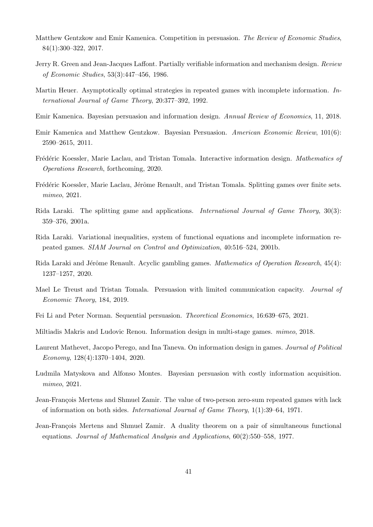- Matthew Gentzkow and Emir Kamenica. Competition in persuasion. *The Review of Economic Studies*, 84(1):300–322, 2017.
- Jerry R. Green and Jean-Jacques Laffont. Partially verifiable information and mechanism design. *Review of Economic Studies*, 53(3):447–456, 1986.
- Martin Heuer. Asymptotically optimal strategies in repeated games with incomplete information. *International Journal of Game Theory*, 20:377–392, 1992.
- Emir Kamenica. Bayesian persuasion and information design. *Annual Review of Economics*, 11, 2018.
- Emir Kamenica and Matthew Gentzkow. Bayesian Persuasion. *American Economic Review*, 101(6): 2590–2615, 2011.
- Fr´ed´eric Koessler, Marie Laclau, and Tristan Tomala. Interactive information design. *Mathematics of Operations Research*, forthcoming, 2020.
- Frédéric Koessler, Marie Laclau, Jérôme Renault, and Tristan Tomala. Splitting games over finite sets. *mimeo*, 2021.
- Rida Laraki. The splitting game and applications. *International Journal of Game Theory*, 30(3): 359–376, 2001a.
- Rida Laraki. Variational inequalities, system of functional equations and incomplete information repeated games. *SIAM Journal on Control and Optimization*, 40:516–524, 2001b.
- Rida Laraki and Jérôme Renault. Acyclic gambling games. *Mathematics of Operation Research*, 45(4): 1237–1257, 2020.
- Mael Le Treust and Tristan Tomala. Persuasion with limited communication capacity. *Journal of Economic Theory*, 184, 2019.
- Fei Li and Peter Norman. Sequential persuasion. *Theoretical Economics*, 16:639–675, 2021.
- Miltiadis Makris and Ludovic Renou. Information design in multi-stage games. *mimeo*, 2018.
- Laurent Mathevet, Jacopo Perego, and Ina Taneva. On information design in games. *Journal of Political Economy*, 128(4):1370–1404, 2020.
- Ludmila Matyskova and Alfonso Montes. Bayesian persuasion with costly information acquisition. *mimeo*, 2021.
- Jean-François Mertens and Shmuel Zamir. The value of two-person zero-sum repeated games with lack of information on both sides. *International Journal of Game Theory*, 1(1):39–64, 1971.
- Jean-François Mertens and Shmuel Zamir. A duality theorem on a pair of simultaneous functional equations. *Journal of Mathematical Analysis and Applications*, 60(2):550–558, 1977.